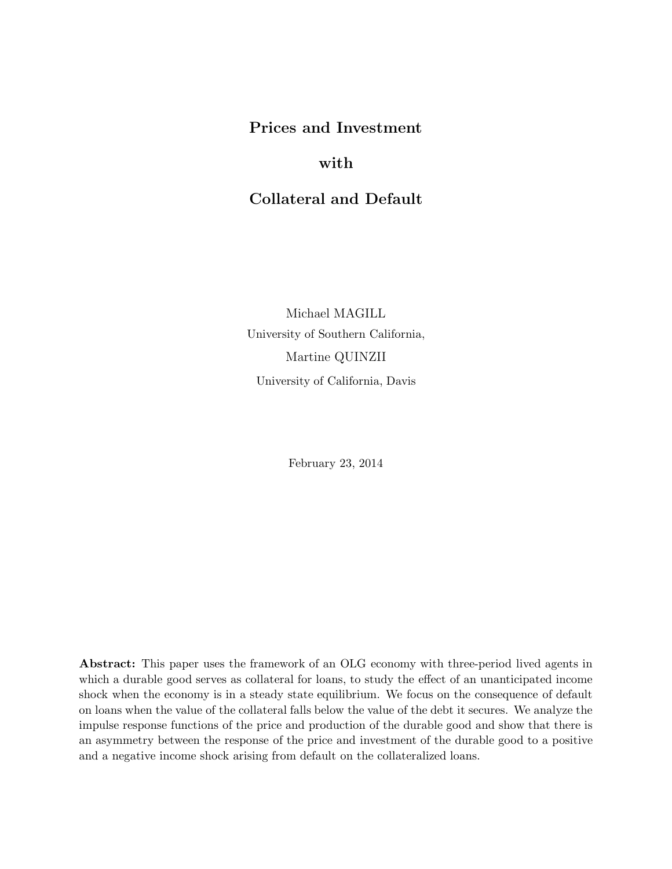Prices and Investment

with

## Collateral and Default

Michael MAGILL University of Southern California, Martine QUINZII University of California, Davis

February 23, 2014

Abstract: This paper uses the framework of an OLG economy with three-period lived agents in which a durable good serves as collateral for loans, to study the effect of an unanticipated income shock when the economy is in a steady state equilibrium. We focus on the consequence of default on loans when the value of the collateral falls below the value of the debt it secures. We analyze the impulse response functions of the price and production of the durable good and show that there is an asymmetry between the response of the price and investment of the durable good to a positive and a negative income shock arising from default on the collateralized loans.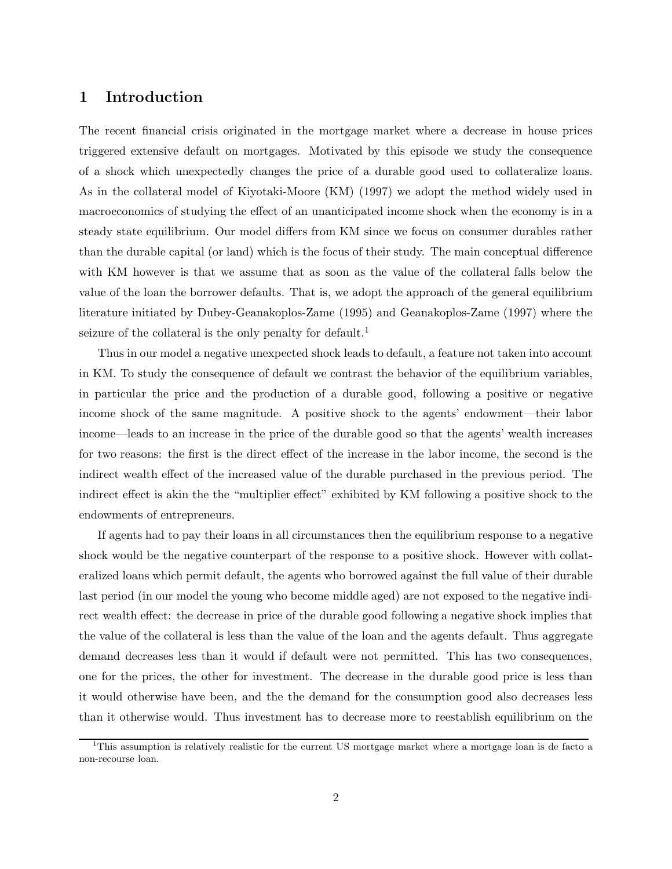## 1 Introduction

The recent financial crisis originated in the mortgage market where a decrease in house prices triggered extensive default on mortgages. Motivated by this episode we study the consequence of a shock which unexpectedly changes the price of a durable good used to collateralize loans. As in the collateral model of Kiyotaki-Moore (KM) (1997) we adopt the method widely used in macroeconomics of studying the effect of an unanticipated income shock when the economy is in a steady state equilibrium. Our model differs from KM since we focus on consumer durables rather than the durable capital (or land) which is the focus of their study. The main conceptual difference with KM however is that we assume that as soon as the value of the collateral falls below the value of the loan the borrower defaults. That is, we adopt the approach of the general equilibrium literature initiated by Dubey-Geanakoplos-Zame (1995) and Geanakoplos-Zame (1997) where the seizure of the collateral is the only penalty for default.<sup>1</sup>

Thus in our model a negative unexpected shock leads to default, a feature not taken into account in KM. To study the consequence of default we contrast the behavior of the equilibrium variables, in particular the price and the production of a durable good, following a positive or negative income shock of the same magnitude. A positive shock to the agents' endowment—their labor income—leads to an increase in the price of the durable good so that the agents' wealth increases for two reasons: the first is the direct effect of the increase in the labor income, the second is the indirect wealth effect of the increased value of the durable purchased in the previous period. The indirect effect is akin the the "multiplier effect" exhibited by KM following a positive shock to the endowments of entrepreneurs.

If agents had to pay their loans in all circumstances then the equilibrium response to a negative shock would be the negative counterpart of the response to a positive shock. However with collateralized loans which permit default, the agents who borrowed against the full value of their durable last period (in our model the young who become middle aged) are not exposed to the negative indirect wealth effect: the decrease in price of the durable good following a negative shock implies that the value of the collateral is less than the value of the loan and the agents default. Thus aggregate demand decreases less than it would if default were not permitted. This has two consequences, one for the prices, the other for investment. The decrease in the durable good price is less than it would otherwise have been, and the the demand for the consumption good also decreases less than it otherwise would. Thus investment has to decrease more to reestablish equilibrium on the

<sup>&</sup>lt;sup>1</sup>This assumption is relatively realistic for the current US mortgage market where a mortgage loan is de facto a non-recourse loan.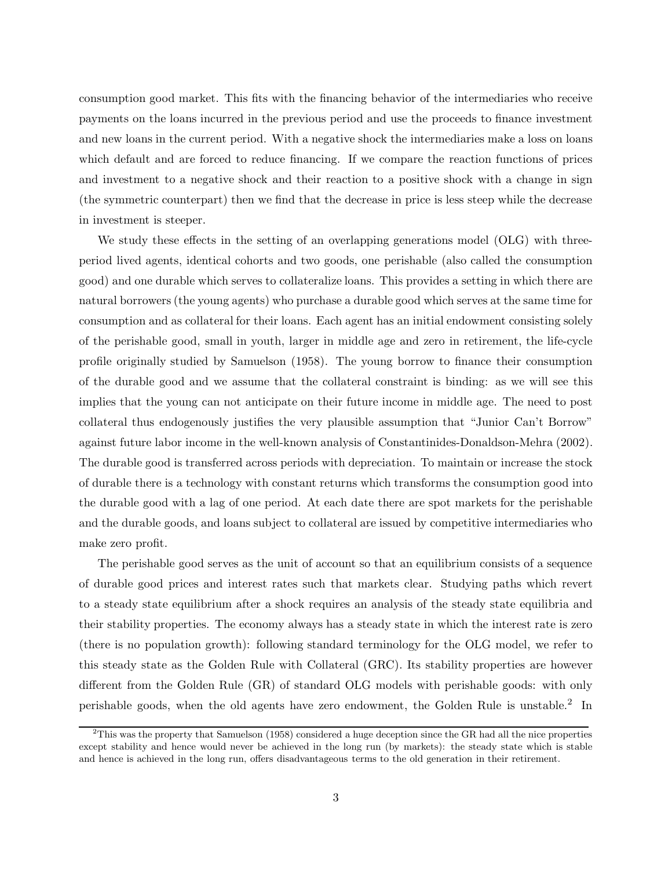consumption good market. This fits with the financing behavior of the intermediaries who receive payments on the loans incurred in the previous period and use the proceeds to finance investment and new loans in the current period. With a negative shock the intermediaries make a loss on loans which default and are forced to reduce financing. If we compare the reaction functions of prices and investment to a negative shock and their reaction to a positive shock with a change in sign (the symmetric counterpart) then we find that the decrease in price is less steep while the decrease in investment is steeper.

We study these effects in the setting of an overlapping generations model (OLG) with threeperiod lived agents, identical cohorts and two goods, one perishable (also called the consumption good) and one durable which serves to collateralize loans. This provides a setting in which there are natural borrowers (the young agents) who purchase a durable good which serves at the same time for consumption and as collateral for their loans. Each agent has an initial endowment consisting solely of the perishable good, small in youth, larger in middle age and zero in retirement, the life-cycle profile originally studied by Samuelson (1958). The young borrow to finance their consumption of the durable good and we assume that the collateral constraint is binding: as we will see this implies that the young can not anticipate on their future income in middle age. The need to post collateral thus endogenously justifies the very plausible assumption that "Junior Can't Borrow" against future labor income in the well-known analysis of Constantinides-Donaldson-Mehra (2002). The durable good is transferred across periods with depreciation. To maintain or increase the stock of durable there is a technology with constant returns which transforms the consumption good into the durable good with a lag of one period. At each date there are spot markets for the perishable and the durable goods, and loans subject to collateral are issued by competitive intermediaries who make zero profit.

The perishable good serves as the unit of account so that an equilibrium consists of a sequence of durable good prices and interest rates such that markets clear. Studying paths which revert to a steady state equilibrium after a shock requires an analysis of the steady state equilibria and their stability properties. The economy always has a steady state in which the interest rate is zero (there is no population growth): following standard terminology for the OLG model, we refer to this steady state as the Golden Rule with Collateral (GRC). Its stability properties are however different from the Golden Rule (GR) of standard OLG models with perishable goods: with only perishable goods, when the old agents have zero endowment, the Golden Rule is unstable.<sup>2</sup> In

<sup>&</sup>lt;sup>2</sup>This was the property that Samuelson (1958) considered a huge deception since the GR had all the nice properties except stability and hence would never be achieved in the long run (by markets): the steady state which is stable and hence is achieved in the long run, offers disadvantageous terms to the old generation in their retirement.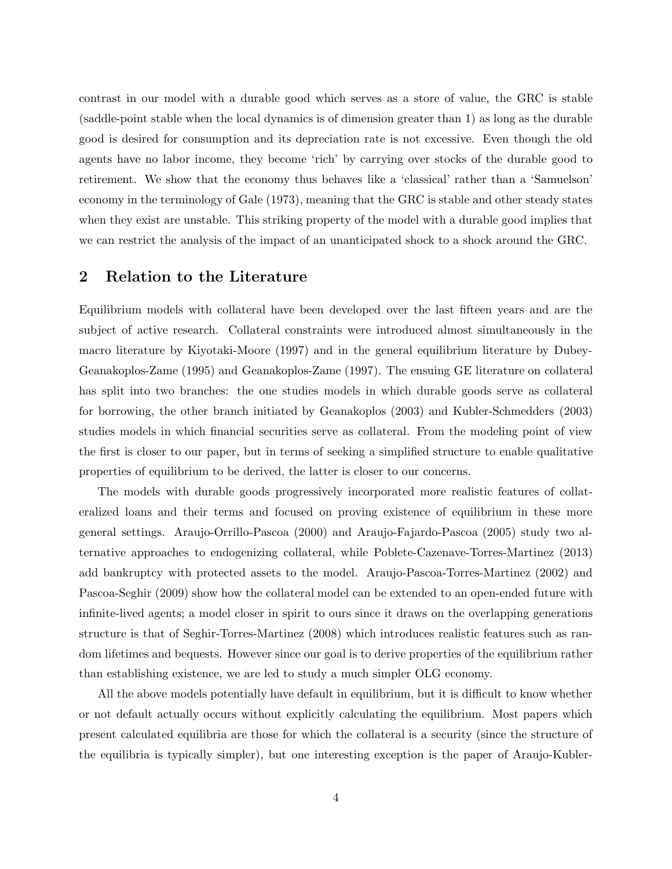contrast in our model with a durable good which serves as a store of value, the GRC is stable (saddle-point stable when the local dynamics is of dimension greater than 1) as long as the durable good is desired for consumption and its depreciation rate is not excessive. Even though the old agents have no labor income, they become 'rich' by carrying over stocks of the durable good to retirement. We show that the economy thus behaves like a 'classical' rather than a 'Samuelson' economy in the terminology of Gale (1973), meaning that the GRC is stable and other steady states when they exist are unstable. This striking property of the model with a durable good implies that we can restrict the analysis of the impact of an unanticipated shock to a shock around the GRC.

## 2 Relation to the Literature

Equilibrium models with collateral have been developed over the last fifteen years and are the subject of active research. Collateral constraints were introduced almost simultaneously in the macro literature by Kiyotaki-Moore (1997) and in the general equilibrium literature by Dubey-Geanakoplos-Zame (1995) and Geanakoplos-Zame (1997). The ensuing GE literature on collateral has split into two branches: the one studies models in which durable goods serve as collateral for borrowing, the other branch initiated by Geanakoplos (2003) and Kubler-Schmedders (2003) studies models in which financial securities serve as collateral. From the modeling point of view the first is closer to our paper, but in terms of seeking a simplified structure to enable qualitative properties of equilibrium to be derived, the latter is closer to our concerns.

The models with durable goods progressively incorporated more realistic features of collateralized loans and their terms and focused on proving existence of equilibrium in these more general settings. Araujo-Orrillo-Pascoa (2000) and Araujo-Fajardo-Pascoa (2005) study two alternative approaches to endogenizing collateral, while Poblete-Cazenave-Torres-Martinez (2013) add bankruptcy with protected assets to the model. Araujo-Pascoa-Torres-Martinez (2002) and Pascoa-Seghir (2009) show how the collateral model can be extended to an open-ended future with infinite-lived agents; a model closer in spirit to ours since it draws on the overlapping generations structure is that of Seghir-Torres-Martinez (2008) which introduces realistic features such as random lifetimes and bequests. However since our goal is to derive properties of the equilibrium rather than establishing existence, we are led to study a much simpler OLG economy.

All the above models potentially have default in equilibrium, but it is difficult to know whether or not default actually occurs without explicitly calculating the equilibrium. Most papers which present calculated equilibria are those for which the collateral is a security (since the structure of the equilibria is typically simpler), but one interesting exception is the paper of Araujo-Kubler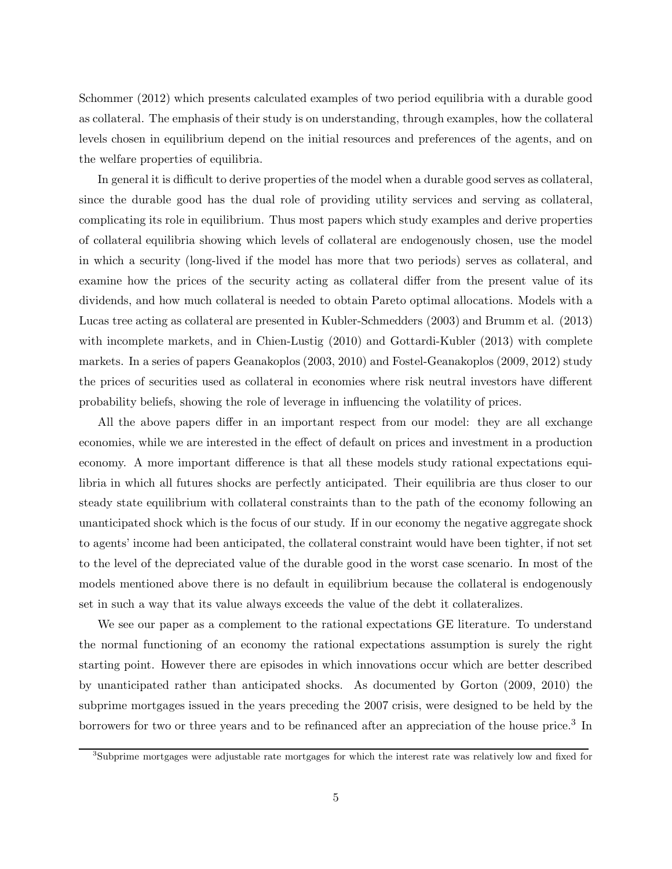Schommer (2012) which presents calculated examples of two period equilibria with a durable good as collateral. The emphasis of their study is on understanding, through examples, how the collateral levels chosen in equilibrium depend on the initial resources and preferences of the agents, and on the welfare properties of equilibria.

In general it is difficult to derive properties of the model when a durable good serves as collateral, since the durable good has the dual role of providing utility services and serving as collateral, complicating its role in equilibrium. Thus most papers which study examples and derive properties of collateral equilibria showing which levels of collateral are endogenously chosen, use the model in which a security (long-lived if the model has more that two periods) serves as collateral, and examine how the prices of the security acting as collateral differ from the present value of its dividends, and how much collateral is needed to obtain Pareto optimal allocations. Models with a Lucas tree acting as collateral are presented in Kubler-Schmedders (2003) and Brumm et al. (2013) with incomplete markets, and in Chien-Lustig (2010) and Gottardi-Kubler (2013) with complete markets. In a series of papers Geanakoplos (2003, 2010) and Fostel-Geanakoplos (2009, 2012) study the prices of securities used as collateral in economies where risk neutral investors have different probability beliefs, showing the role of leverage in influencing the volatility of prices.

All the above papers differ in an important respect from our model: they are all exchange economies, while we are interested in the effect of default on prices and investment in a production economy. A more important difference is that all these models study rational expectations equilibria in which all futures shocks are perfectly anticipated. Their equilibria are thus closer to our steady state equilibrium with collateral constraints than to the path of the economy following an unanticipated shock which is the focus of our study. If in our economy the negative aggregate shock to agents' income had been anticipated, the collateral constraint would have been tighter, if not set to the level of the depreciated value of the durable good in the worst case scenario. In most of the models mentioned above there is no default in equilibrium because the collateral is endogenously set in such a way that its value always exceeds the value of the debt it collateralizes.

We see our paper as a complement to the rational expectations GE literature. To understand the normal functioning of an economy the rational expectations assumption is surely the right starting point. However there are episodes in which innovations occur which are better described by unanticipated rather than anticipated shocks. As documented by Gorton (2009, 2010) the subprime mortgages issued in the years preceding the 2007 crisis, were designed to be held by the borrowers for two or three years and to be refinanced after an appreciation of the house price.<sup>3</sup> In

<sup>&</sup>lt;sup>3</sup>Subprime mortgages were adjustable rate mortgages for which the interest rate was relatively low and fixed for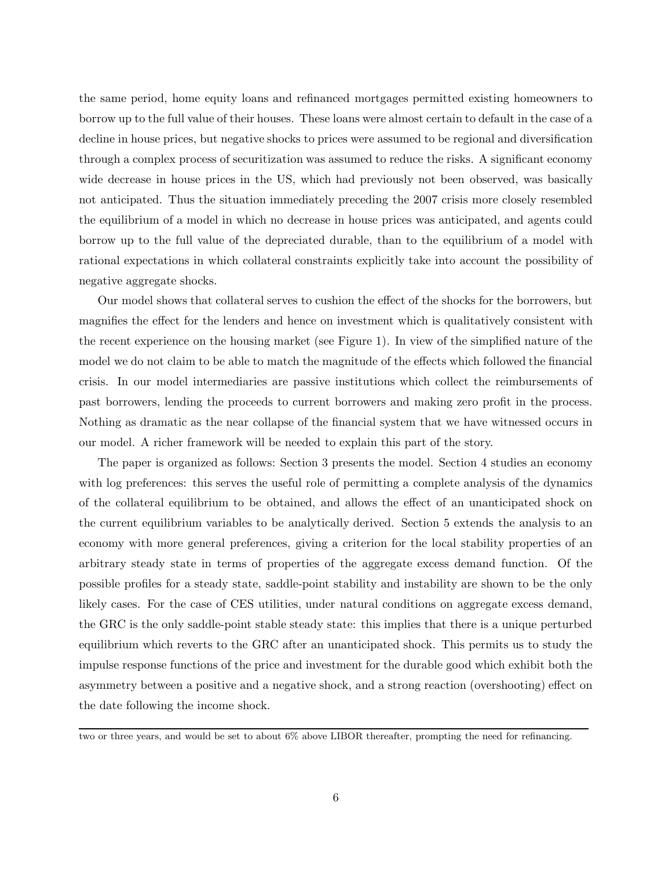the same period, home equity loans and refinanced mortgages permitted existing homeowners to borrow up to the full value of their houses. These loans were almost certain to default in the case of a decline in house prices, but negative shocks to prices were assumed to be regional and diversification through a complex process of securitization was assumed to reduce the risks. A significant economy wide decrease in house prices in the US, which had previously not been observed, was basically not anticipated. Thus the situation immediately preceding the 2007 crisis more closely resembled the equilibrium of a model in which no decrease in house prices was anticipated, and agents could borrow up to the full value of the depreciated durable, than to the equilibrium of a model with rational expectations in which collateral constraints explicitly take into account the possibility of negative aggregate shocks.

Our model shows that collateral serves to cushion the effect of the shocks for the borrowers, but magnifies the effect for the lenders and hence on investment which is qualitatively consistent with the recent experience on the housing market (see Figure 1). In view of the simplified nature of the model we do not claim to be able to match the magnitude of the effects which followed the financial crisis. In our model intermediaries are passive institutions which collect the reimbursements of past borrowers, lending the proceeds to current borrowers and making zero profit in the process. Nothing as dramatic as the near collapse of the financial system that we have witnessed occurs in our model. A richer framework will be needed to explain this part of the story.

The paper is organized as follows: Section 3 presents the model. Section 4 studies an economy with log preferences: this serves the useful role of permitting a complete analysis of the dynamics of the collateral equilibrium to be obtained, and allows the effect of an unanticipated shock on the current equilibrium variables to be analytically derived. Section 5 extends the analysis to an economy with more general preferences, giving a criterion for the local stability properties of an arbitrary steady state in terms of properties of the aggregate excess demand function. Of the possible profiles for a steady state, saddle-point stability and instability are shown to be the only likely cases. For the case of CES utilities, under natural conditions on aggregate excess demand, the GRC is the only saddle-point stable steady state: this implies that there is a unique perturbed equilibrium which reverts to the GRC after an unanticipated shock. This permits us to study the impulse response functions of the price and investment for the durable good which exhibit both the asymmetry between a positive and a negative shock, and a strong reaction (overshooting) effect on the date following the income shock.

two or three years, and would be set to about 6% above LIBOR thereafter, prompting the need for refinancing.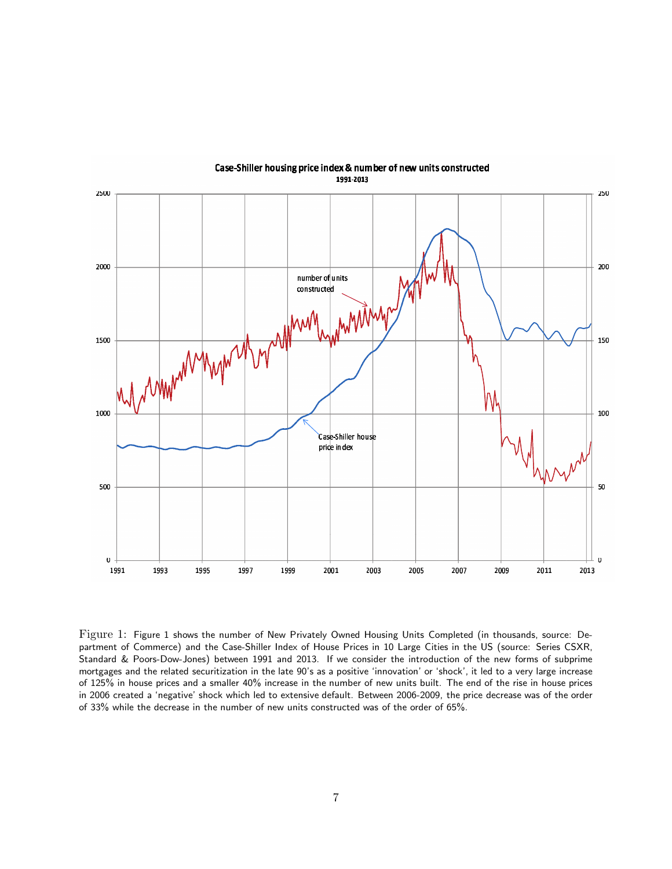

Case-Shiller housing price index & number of new units constructed 1991-2013

Figure 1: Figure 1 shows the number of New Privately Owned Housing Units Completed (in thousands, source: Department of Commerce) and the Case-Shiller Index of House Prices in 10 Large Cities in the US (source: Series CSXR, Standard & Poors-Dow-Jones) between 1991 and 2013. If we consider the introduction of the new forms of subprime mortgages and the related securitization in the late 90's as a positive 'innovation' or 'shock', it led to a very large increase of 125% in house prices and a smaller 40% increase in the number of new units built. The end of the rise in house prices in 2006 created a 'negative' shock which led to extensive default. Between 2006-2009, the price decrease was of the order of 33% while the decrease in the number of new units constructed was of the order of 65%.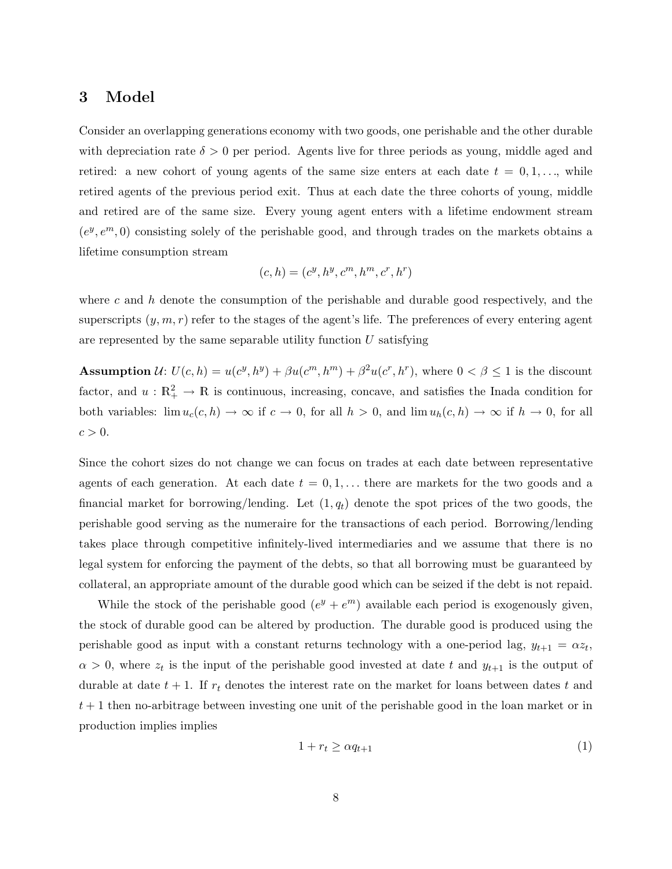## 3 Model

Consider an overlapping generations economy with two goods, one perishable and the other durable with depreciation rate  $\delta > 0$  per period. Agents live for three periods as young, middle aged and retired: a new cohort of young agents of the same size enters at each date  $t = 0, 1, \ldots$ , while retired agents of the previous period exit. Thus at each date the three cohorts of young, middle and retired are of the same size. Every young agent enters with a lifetime endowment stream  $(e^y, e^m, 0)$  consisting solely of the perishable good, and through trades on the markets obtains a lifetime consumption stream

$$
(c, h) = (c^y, h^y, c^m, h^m, c^r, h^r)
$$

where c and h denote the consumption of the perishable and durable good respectively, and the superscripts  $(y, m, r)$  refer to the stages of the agent's life. The preferences of every entering agent are represented by the same separable utility function  $U$  satisfying

**Assumption**  $\mathcal{U}$ :  $U(c, h) = u(c^y, h^y) + \beta u(c^m, h^m) + \beta^2 u(c^r, h^r)$ , where  $0 < \beta \leq 1$  is the discount factor, and  $u: \mathbb{R}_+^2 \to \mathbb{R}$  is continuous, increasing, concave, and satisfies the Inada condition for both variables:  $\lim u_c(c, h) \to \infty$  if  $c \to 0$ , for all  $h > 0$ , and  $\lim u_h(c, h) \to \infty$  if  $h \to 0$ , for all  $c > 0$ .

Since the cohort sizes do not change we can focus on trades at each date between representative agents of each generation. At each date  $t = 0, 1, \ldots$  there are markets for the two goods and a financial market for borrowing/lending. Let  $(1, q_t)$  denote the spot prices of the two goods, the perishable good serving as the numeraire for the transactions of each period. Borrowing/lending takes place through competitive infinitely-lived intermediaries and we assume that there is no legal system for enforcing the payment of the debts, so that all borrowing must be guaranteed by collateral, an appropriate amount of the durable good which can be seized if the debt is not repaid.

While the stock of the perishable good  $(e^y + e^m)$  available each period is exogenously given, the stock of durable good can be altered by production. The durable good is produced using the perishable good as input with a constant returns technology with a one-period lag,  $y_{t+1} = \alpha z_t$ ,  $\alpha > 0$ , where  $z_t$  is the input of the perishable good invested at date t and  $y_{t+1}$  is the output of durable at date  $t + 1$ . If  $r_t$  denotes the interest rate on the market for loans between dates t and  $t + 1$  then no-arbitrage between investing one unit of the perishable good in the loan market or in production implies implies

$$
1 + r_t \ge \alpha q_{t+1} \tag{1}
$$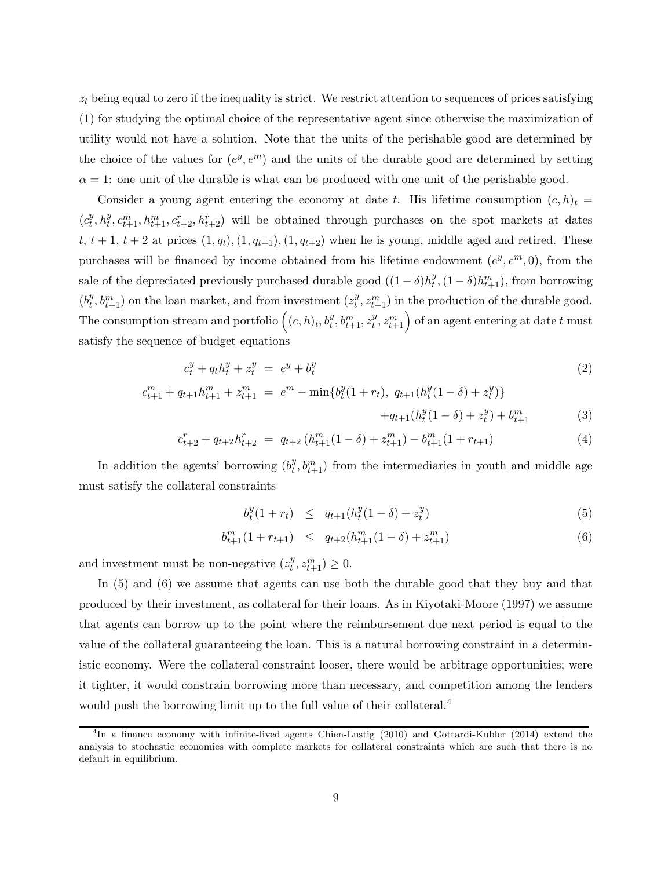$z_t$  being equal to zero if the inequality is strict. We restrict attention to sequences of prices satisfying (1) for studying the optimal choice of the representative agent since otherwise the maximization of utility would not have a solution. Note that the units of the perishable good are determined by the choice of the values for  $(e^y, e^m)$  and the units of the durable good are determined by setting  $\alpha = 1$ : one unit of the durable is what can be produced with one unit of the perishable good.

Consider a young agent entering the economy at date t. His lifetime consumption  $(c, h)_t$  =  $(c_t^y)$  $t, h_t^y, c_{t+1}^m, h_{t+1}^m, c_{t+2}^r, h_{t+2}^r$  will be obtained through purchases on the spot markets at dates  $t, t+1, t+2$  at prices  $(1, q_t), (1, q_{t+1}), (1, q_{t+2})$  when he is young, middle aged and retired. These purchases will be financed by income obtained from his lifetime endowment  $(e^y, e^m, 0)$ , from the sale of the depreciated previously purchased durable good  $((1 - \delta)h_t^y)$  $t^y$ ,  $(1 - \delta)h_{t+1}^m$ ), from borrowing  $(b_t^y)$  $_t^y, b_{t+1}^m$ ) on the loan market, and from investment  $(z_t^y)$  $_t^y$ ,  $z_{t+1}^m$ ) in the production of the durable good. The consumption stream and portfolio  $((c, h)_t, b_t^y, b_{t+1}^m, z_t^y)$  $\left( \begin{smallmatrix} y & w \ t & z \ t+1 \end{smallmatrix} \right)$  of an agent entering at date  $t$  must satisfy the sequence of budget equations

$$
c_t^y + q_t h_t^y + z_t^y = e^y + b_t^y \tag{2}
$$

$$
c_{t+1}^m + q_{t+1}h_{t+1}^m + z_{t+1}^m = e^m - \min\{b_t^y(1+r_t), q_{t+1}(h_t^y(1-\delta) + z_t^y)\}
$$

$$
+q_{t+1}(h_t^y(1-\delta) + z_t^y) + b_{t+1}^m \tag{3}
$$

$$
c_{t+2}^r + q_{t+2}h_{t+2}^r = q_{t+2}(h_{t+1}^m(1-\delta) + z_{t+1}^m) - b_{t+1}^m(1+r_{t+1})
$$
\n
$$
\tag{4}
$$

In addition the agents' borrowing  $(b_t^y)$  $(t, b_{t+1}^m)$  from the intermediaries in youth and middle age must satisfy the collateral constraints

$$
b_t^y(1+r_t) \le q_{t+1}(h_t^y(1-\delta) + z_t^y) \tag{5}
$$

$$
b_{t+1}^m(1 + r_{t+1}) \le q_{t+2}(h_{t+1}^m(1 - \delta) + z_{t+1}^m) \tag{6}
$$

and investment must be non-negative  $(z_t^y)$  $t^{y}, z_{t+1}^{m}) \geq 0.$ 

In (5) and (6) we assume that agents can use both the durable good that they buy and that produced by their investment, as collateral for their loans. As in Kiyotaki-Moore (1997) we assume that agents can borrow up to the point where the reimbursement due next period is equal to the value of the collateral guaranteeing the loan. This is a natural borrowing constraint in a deterministic economy. Were the collateral constraint looser, there would be arbitrage opportunities; were it tighter, it would constrain borrowing more than necessary, and competition among the lenders would push the borrowing limit up to the full value of their collateral.<sup>4</sup>

<sup>&</sup>lt;sup>4</sup>In a finance economy with infinite-lived agents Chien-Lustig (2010) and Gottardi-Kubler (2014) extend the analysis to stochastic economies with complete markets for collateral constraints which are such that there is no default in equilibrium.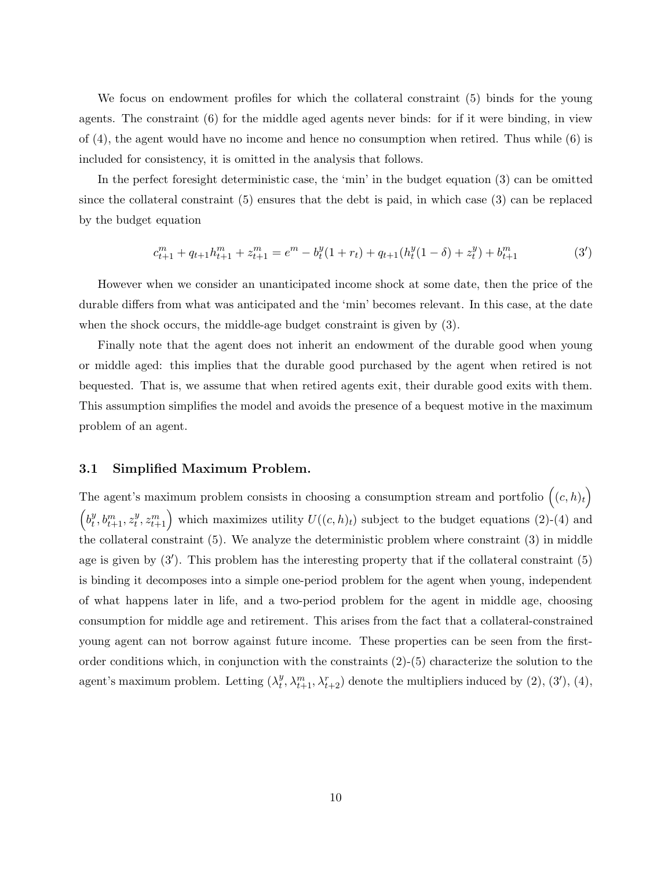We focus on endowment profiles for which the collateral constraint (5) binds for the young agents. The constraint (6) for the middle aged agents never binds: for if it were binding, in view of (4), the agent would have no income and hence no consumption when retired. Thus while (6) is included for consistency, it is omitted in the analysis that follows.

In the perfect foresight deterministic case, the 'min' in the budget equation (3) can be omitted since the collateral constraint (5) ensures that the debt is paid, in which case (3) can be replaced by the budget equation

$$
c_{t+1}^m + q_{t+1}h_{t+1}^m + z_{t+1}^m = e^m - b_t^y(1+r_t) + q_{t+1}(h_t^y(1-\delta) + z_t^y) + b_{t+1}^m
$$
\n(3')

However when we consider an unanticipated income shock at some date, then the price of the durable differs from what was anticipated and the 'min' becomes relevant. In this case, at the date when the shock occurs, the middle-age budget constraint is given by (3).

Finally note that the agent does not inherit an endowment of the durable good when young or middle aged: this implies that the durable good purchased by the agent when retired is not bequested. That is, we assume that when retired agents exit, their durable good exits with them. This assumption simplifies the model and avoids the presence of a bequest motive in the maximum problem of an agent.

#### 3.1 Simplified Maximum Problem.

The agent's maximum problem consists in choosing a consumption stream and portfolio  $((c, h)_t)$  $\left(b_t^y\right)$  $t^y, b^m_{t+1}, z^y_t$  $\binom{y}{t}, z_{t+1}^m$  which maximizes utility  $U((c, h)_t)$  subject to the budget equations (2)-(4) and the collateral constraint (5). We analyze the deterministic problem where constraint (3) in middle age is given by  $(3')$ . This problem has the interesting property that if the collateral constraint  $(5)$ is binding it decomposes into a simple one-period problem for the agent when young, independent of what happens later in life, and a two-period problem for the agent in middle age, choosing consumption for middle age and retirement. This arises from the fact that a collateral-constrained young agent can not borrow against future income. These properties can be seen from the firstorder conditions which, in conjunction with the constraints  $(2)-(5)$  characterize the solution to the agent's maximum problem. Letting  $(\lambda_t^y)$  $t^{y}, \lambda_{t+1}^{m}, \lambda_{t+2}^{r}$  denote the multipliers induced by (2), (3'), (4),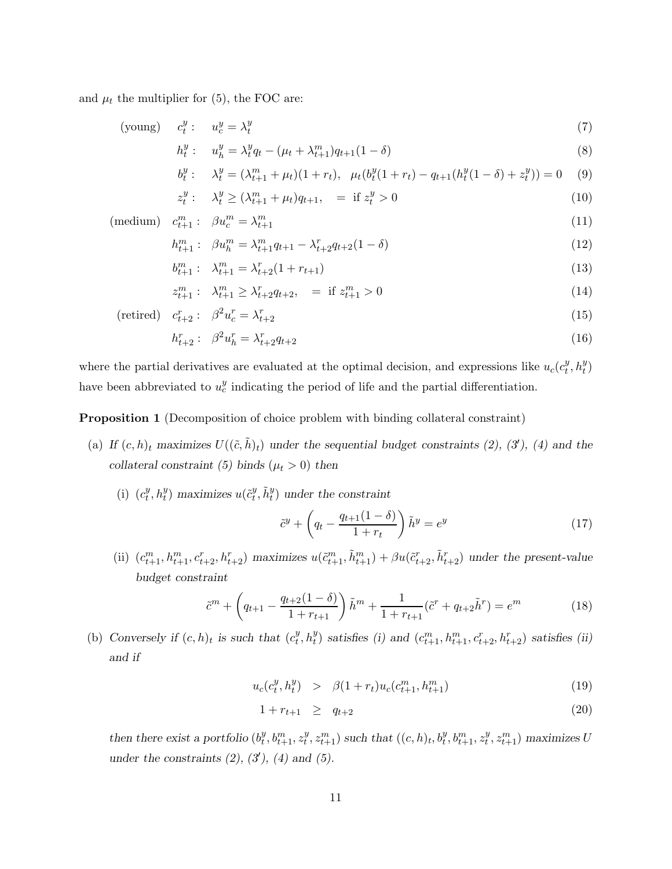and  $\mu_t$  the multiplier for (5), the FOC are:

$$
\text{(young)} \quad c_t^y: \quad u_c^y = \lambda_t^y \tag{7}
$$

$$
h_t^y: \t u_h^y = \lambda_t^y q_t - (\mu_t + \lambda_{t+1}^m) q_{t+1} (1 - \delta) \t (8)
$$

$$
b_t^y: \quad \lambda_t^y = (\lambda_{t+1}^m + \mu_t)(1 + r_t), \quad \mu_t(b_t^y(1 + r_t) - q_{t+1}(h_t^y(1 - \delta) + z_t^y)) = 0 \quad (9)
$$

$$
z_t^y: \quad \lambda_t^y \ge (\lambda_{t+1}^m + \mu_t)q_{t+1}, \quad = \text{if } z_t^y > 0 \tag{10}
$$

$$
\text{(medium)} \quad c_{t+1}^m: \quad \beta u_c^m = \lambda_{t+1}^m \tag{11}
$$

$$
h_{t+1}^m: \ \beta u_h^m = \lambda_{t+1}^m q_{t+1} - \lambda_{t+2}^r q_{t+2} (1 - \delta) \tag{12}
$$

$$
b_{t+1}^m: \quad \lambda_{t+1}^m = \lambda_{t+2}^r (1 + r_{t+1}) \tag{13}
$$

$$
z_{t+1}^m: \quad \lambda_{t+1}^m \ge \lambda_{t+2}^r q_{t+2}, \quad = \text{if } z_{t+1}^m > 0 \tag{14}
$$

$$
\text{(retired)} \quad c_{t+2}^r: \quad \beta^2 u_c^r = \lambda_{t+2}^r \tag{15}
$$

$$
h_{t+2}^r: \quad \beta^2 u_h^r = \lambda_{t+2}^r q_{t+2} \tag{16}
$$

where the partial derivatives are evaluated at the optimal decision, and expressions like  $u_c(c_t^y)$  $_t^y, h_t^y)$ have been abbreviated to  $u_c^y$  indicating the period of life and the partial differentiation.

#### Proposition 1 (Decomposition of choice problem with binding collateral constraint)

- (a) If  $(c, h)_t$  maximizes  $U((\tilde{c}, \tilde{h})_t)$  under the sequential budget constraints  $(2), (3), (4)$  and the collateral constraint (5) binds ( $\mu_t > 0$ ) then
	- $(i)$   $(c_t^y)$  $(t_t^y, h_t^y)$  maximizes  $u(\tilde{c}_t^y)$  $\tilde{h}^y_t$ ,  $\tilde{h}^y_t$  $_t^y$ ) under the constraint

$$
\tilde{c}^y + \left(q_t - \frac{q_{t+1}(1-\delta)}{1+r_t}\right)\tilde{h}^y = e^y \tag{17}
$$

(ii)  $(c_{t+1}^m, h_{t+1}^m, c_{t+2}^r, h_{t+2}^r)$  maximizes  $u(\tilde{c}_{t+1}^m, \tilde{h}_{t+1}^m) + \beta u(\tilde{c}_{t+2}^r, \tilde{h}_{t+2}^r)$  under the present-value budget constraint

$$
\tilde{c}^m + \left(q_{t+1} - \frac{q_{t+2}(1-\delta)}{1+r_{t+1}}\right)\tilde{h}^m + \frac{1}{1+r_{t+1}}(\tilde{c}^r + q_{t+2}\tilde{h}^r) = e^m \tag{18}
$$

(b) Conversely if  $(c, h)_t$  is such that  $(c_t^y)$  $(t, h_t^y)$  satisfies (i) and  $(c_{t+1}^m, h_{t+1}^m, c_{t+2}^r, h_{t+2}^r)$  satisfies (ii) and if

$$
u_c(c_t^y, h_t^y) > \beta(1 + r_t)u_c(c_{t+1}^m, h_{t+1}^m)
$$
\n(19)

$$
1 + r_{t+1} \ge q_{t+2} \tag{20}
$$

then there exist a portfolio  $(b_t^y)$  $t^{y}, b^{m}_{t+1}, z^{y}_{t}$  $(t^{y}_{t}, z^{m}_{t+1})$  such that  $((c, h)_{t}, b^{y}_{t}, b^{m}_{t+1}, z^{y}_{t})$  $(t^y, z^m_{t+1})$  maximizes U under the constraints  $(2)$ ,  $(3')$ ,  $(4)$  and  $(5)$ .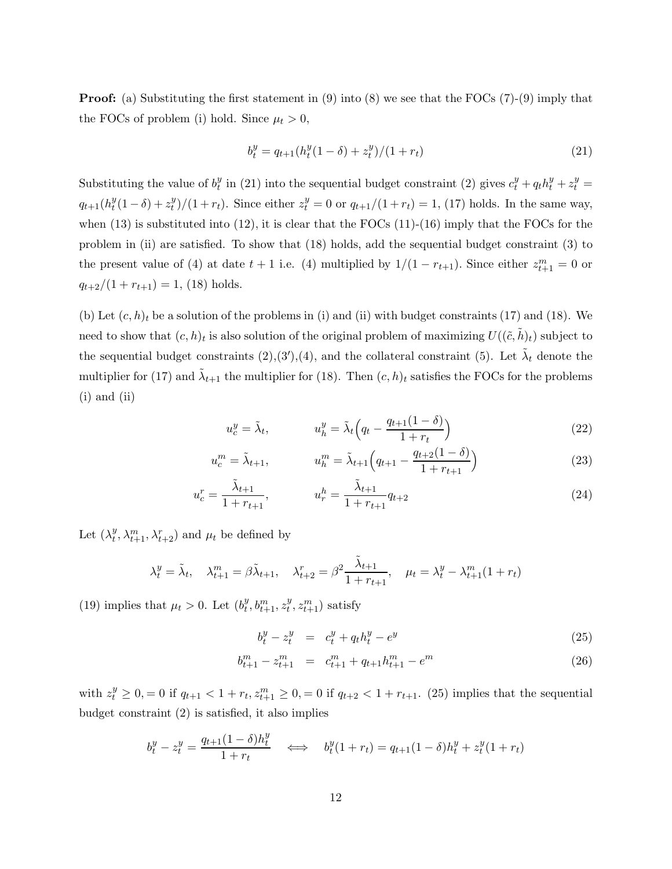**Proof:** (a) Substituting the first statement in (9) into (8) we see that the FOCs  $(7)-(9)$  imply that the FOCs of problem (i) hold. Since  $\mu_t > 0$ ,

$$
b_t^y = q_{t+1}(h_t^y(1-\delta) + z_t^y)/(1+r_t)
$$
\n(21)

Substituting the value of  $b_t^y$  $y_t$  in (21) into the sequential budget constraint (2) gives  $c_t^y + q_t h_t^y + z_t^y =$  $q_{t+1}(h_t^y)$  $t^{y}(1-\delta) + z^{y}_{t}$  $t^{(y)}_{t}/(1+r_{t})$ . Since either  $z_{t}^{y}=0$  or  $q_{t+1}/(1+r_{t})=1$ , (17) holds. In the same way, when  $(13)$  is substituted into  $(12)$ , it is clear that the FOCs  $(11)-(16)$  imply that the FOCs for the problem in (ii) are satisfied. To show that (18) holds, add the sequential budget constraint (3) to the present value of (4) at date  $t + 1$  i.e. (4) multiplied by  $1/(1 - r_{t+1})$ . Since either  $z_{t+1}^m = 0$  or  $q_{t+2}/(1 + r_{t+1}) = 1$ , (18) holds.

(b) Let  $(c, h)_t$  be a solution of the problems in (i) and (ii) with budget constraints (17) and (18). We need to show that  $(c, h)_t$  is also solution of the original problem of maximizing  $U((\tilde{c}, \tilde{h})_t)$  subject to the sequential budget constraints  $(2), (3), (4)$ , and the collateral constraint (5). Let  $\tilde{\lambda}_t$  denote the multiplier for (17) and  $\tilde{\lambda}_{t+1}$  the multiplier for (18). Then  $(c, h)_t$  satisfies the FOCs for the problems (i) and (ii)

$$
u_c^y = \tilde{\lambda}_t, \qquad \qquad u_h^y = \tilde{\lambda}_t \left( q_t - \frac{q_{t+1}(1-\delta)}{1+r_t} \right) \tag{22}
$$

$$
u_c^m = \tilde{\lambda}_{t+1}, \qquad \qquad u_h^m = \tilde{\lambda}_{t+1} \left( q_{t+1} - \frac{q_{t+2}(1-\delta)}{1+r_{t+1}} \right) \tag{23}
$$

$$
u_c^r = \frac{\tilde{\lambda}_{t+1}}{1 + r_{t+1}}, \qquad \qquad u_r^h = \frac{\tilde{\lambda}_{t+1}}{1 + r_{t+1}} q_{t+2} \tag{24}
$$

Let  $(\lambda_t^y)$  $_t^y$ ,  $\lambda_{t+1}^m$ ,  $\lambda_{t+2}^r$ ) and  $\mu_t$  be defined by

$$
\lambda_t^y = \tilde{\lambda}_t, \quad \lambda_{t+1}^m = \beta \tilde{\lambda}_{t+1}, \quad \lambda_{t+2}^r = \beta^2 \frac{\tilde{\lambda}_{t+1}}{1 + r_{t+1}}, \quad \mu_t = \lambda_t^y - \lambda_{t+1}^m (1 + r_t)
$$

(19) implies that  $\mu_t > 0$ . Let  $(b_t^y)$  $t^y, b^m_{t+1}, z^y_t$  $_t^y, z_{t+1}^m$ ) satisfy

$$
b_t^y - z_t^y = c_t^y + q_t h_t^y - e^y \tag{25}
$$

$$
b_{t+1}^m - z_{t+1}^m = c_{t+1}^m + q_{t+1}h_{t+1}^m - e^m \tag{26}
$$

with  $z_t^y \ge 0, = 0$  if  $q_{t+1} < 1 + r_t, z_{t+1}^m \ge 0, = 0$  if  $q_{t+2} < 1 + r_{t+1}$ . (25) implies that the sequential budget constraint (2) is satisfied, it also implies

$$
b_t^y - z_t^y = \frac{q_{t+1}(1-\delta)h_t^y}{1+r_t} \quad \Longleftrightarrow \quad b_t^y(1+r_t) = q_{t+1}(1-\delta)h_t^y + z_t^y(1+r_t)
$$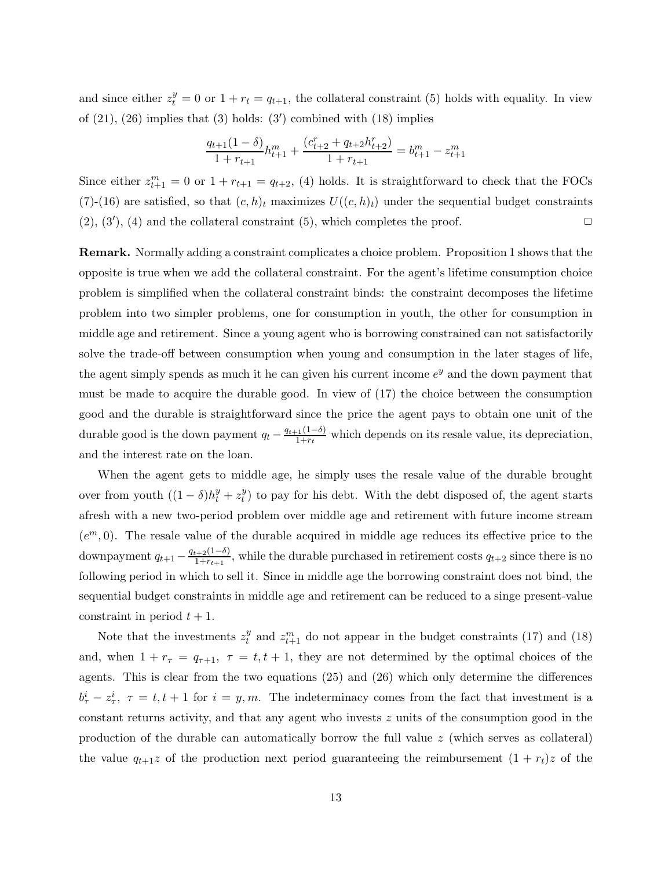and since either  $z_t^y = 0$  or  $1 + r_t = q_{t+1}$ , the collateral constraint (5) holds with equality. In view of  $(21)$ ,  $(26)$  implies that  $(3)$  holds:  $(3')$  combined with  $(18)$  implies

$$
\frac{q_{t+1}(1-\delta)}{1+r_{t+1}}h^m_{t+1} + \frac{(c_{t+2}^r + q_{t+2}h^r_{t+2})}{1+r_{t+1}} = b^m_{t+1} - z^m_{t+1}
$$

Since either  $z_{t+1}^m = 0$  or  $1 + r_{t+1} = q_{t+2}$ , (4) holds. It is straightforward to check that the FOCs  $(7)-(16)$  are satisfied, so that  $(c, h)<sub>t</sub>$  maximizes  $U((c, h)<sub>t</sub>)$  under the sequential budget constraints  $(2)$ ,  $(3')$ ,  $(4)$  and the collateral constraint  $(5)$ , which completes the proof.

Remark. Normally adding a constraint complicates a choice problem. Proposition 1 shows that the opposite is true when we add the collateral constraint. For the agent's lifetime consumption choice problem is simplified when the collateral constraint binds: the constraint decomposes the lifetime problem into two simpler problems, one for consumption in youth, the other for consumption in middle age and retirement. Since a young agent who is borrowing constrained can not satisfactorily solve the trade-off between consumption when young and consumption in the later stages of life, the agent simply spends as much it he can given his current income  $e^y$  and the down payment that must be made to acquire the durable good. In view of (17) the choice between the consumption good and the durable is straightforward since the price the agent pays to obtain one unit of the durable good is the down payment  $q_t - \frac{q_{t+1}(1-\delta)}{1+r_t}$  $\frac{1}{1+r_t}$  which depends on its resale value, its depreciation, and the interest rate on the loan.

When the agent gets to middle age, he simply uses the resale value of the durable brought over from youth  $((1 - \delta)h_t^y + z_t^y)$  $_t^y$  to pay for his debt. With the debt disposed of, the agent starts afresh with a new two-period problem over middle age and retirement with future income stream  $(e<sup>m</sup>, 0)$ . The resale value of the durable acquired in middle age reduces its effective price to the downpayment  $q_{t+1} - \frac{q_{t+2}(1-\delta)}{1+r_{t+1}}$  $\frac{t+2(1-\theta)}{1+r_{t+1}}$ , while the durable purchased in retirement costs  $q_{t+2}$  since there is no following period in which to sell it. Since in middle age the borrowing constraint does not bind, the sequential budget constraints in middle age and retirement can be reduced to a singe present-value constraint in period  $t + 1$ .

Note that the investments  $z_t^y$  $t$ <sup>u</sup> and  $z_{t+1}^m$  do not appear in the budget constraints (17) and (18) and, when  $1 + r<sub>\tau</sub> = q<sub>\tau+1</sub>$ ,  $\tau = t, t + 1$ , they are not determined by the optimal choices of the agents. This is clear from the two equations (25) and (26) which only determine the differences  $b^i_\tau - z^i_\tau$ ,  $\tau = t, t + 1$  for  $i = y, m$ . The indeterminacy comes from the fact that investment is a constant returns activity, and that any agent who invests  $z$  units of the consumption good in the production of the durable can automatically borrow the full value  $z$  (which serves as collateral) the value  $q_{t+1}z$  of the production next period guaranteeing the reimbursement  $(1 + r_t)z$  of the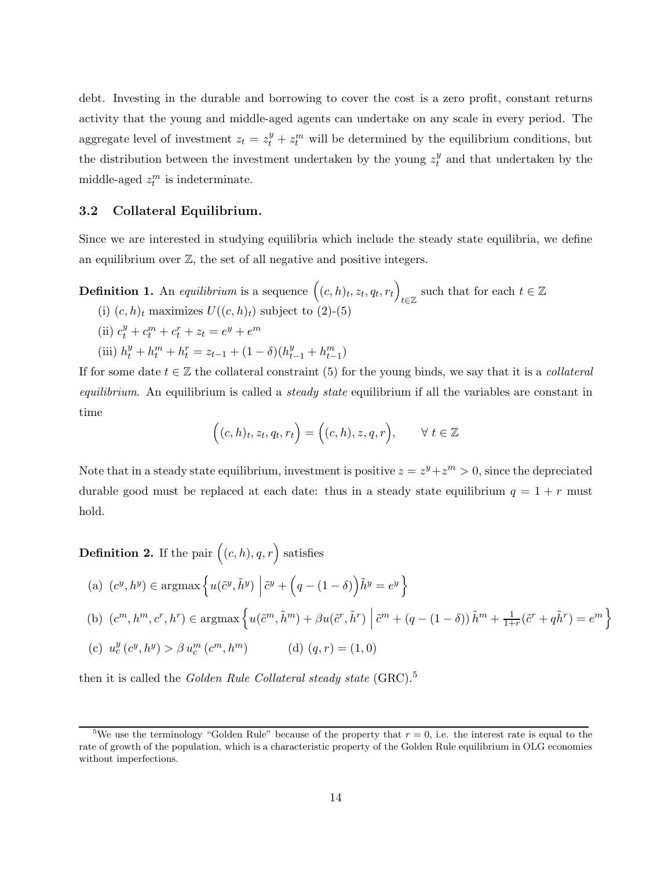debt. Investing in the durable and borrowing to cover the cost is a zero profit, constant returns activity that the young and middle-aged agents can undertake on any scale in every period. The aggregate level of investment  $z_t = z_t^y + z_t^m$  will be determined by the equilibrium conditions, but the distribution between the investment undertaken by the young  $z_t^y$  $t$ <sup>*y*</sup> and that undertaken by the middle-aged  $z_t^m$  is indeterminate.

#### 3.2 Collateral Equilibrium.

Since we are interested in studying equilibria which include the steady state equilibria, we define an equilibrium over  $\mathbb{Z}$ , the set of all negative and positive integers.

**Definition 1.** An *equilibrium* is a sequence  $((c, h)_t, z_t, q_t, r_t)$ such that for each  $t \in \mathbb{Z}$ 

(i)  $(c, h)_t$  maximizes  $U((c, h)_t)$  subject to  $(2)-(5)$ 

(ii) 
$$
c_t^y + c_t^m + c_t^r + z_t = e^y + e^m
$$

(iii)  $h_t^y + h_t^m + h_t^r = z_{t-1} + (1 - \delta)(h_{t-1}^y + h_{t-1}^m)$ 

If for some date  $t \in \mathbb{Z}$  the collateral constraint (5) for the young binds, we say that it is a *collateral* equilibrium. An equilibrium is called a *steady state* equilibrium if all the variables are constant in time

$$
((c,h)_t, z_t, q_t, r_t) = ((c,h), z, q, r), \qquad \forall \ t \in \mathbb{Z}
$$

Note that in a steady state equilibrium, investment is positive  $z = z^y + z^m > 0$ , since the depreciated durable good must be replaced at each date: thus in a steady state equilibrium  $q = 1 + r$  must hold.

# **Definition 2.** If the pair  $((c, h), q, r)$  satisfies

(a) 
$$
(c^y, h^y) \in \operatorname{argmax} \left\{ u(\tilde{c}^y, \tilde{h}^y) \middle| \tilde{c}^y + \left( q - (1 - \delta) \right) \tilde{h}^y = e^y \right\}
$$

(b) 
$$
(c^m, h^m, c^r, h^r) \in \operatorname{argmax} \left\{ u(\tilde{c}^m, \tilde{h}^m) + \beta u(\tilde{c}^r, \tilde{h}^r) \middle| \tilde{c}^m + (q - (1 - \delta)) \tilde{h}^m + \frac{1}{1+r} (\tilde{c}^r + q \tilde{h}^r) = e^m \right\}
$$

(c) 
$$
u_c^y(c^y, h^y) > \beta u_c^m(c^m, h^m)
$$
 (d)  $(q, r) = (1, 0)$ 

then it is called the Golden Rule Collateral steady state  $(GRC)^5$ .

<sup>&</sup>lt;sup>5</sup>We use the terminology "Golden Rule" because of the property that  $r = 0$ , i.e. the interest rate is equal to the rate of growth of the population, which is a characteristic property of the Golden Rule equilibrium in OLG economies without imperfections.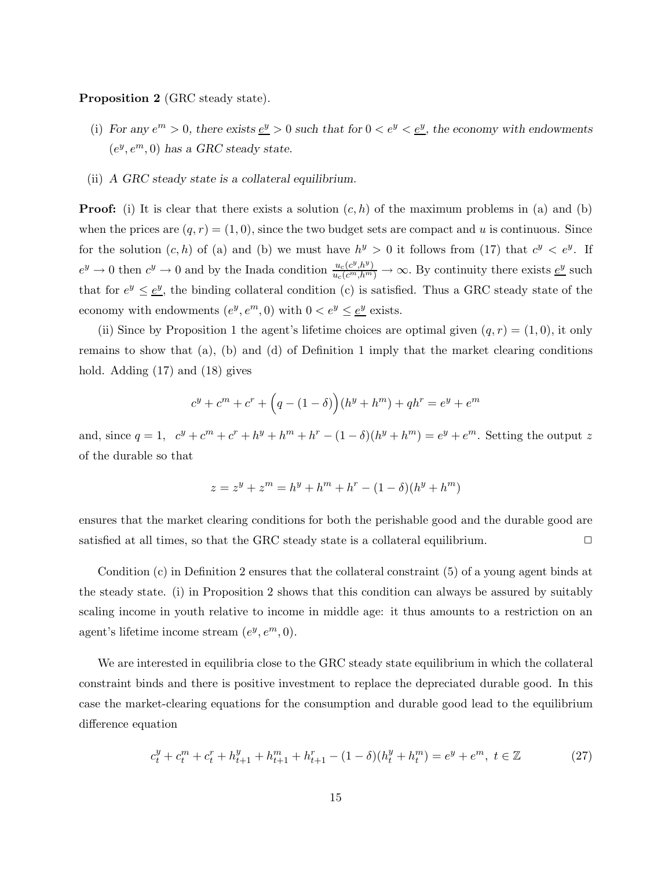Proposition 2 (GRC steady state).

- (i) For any  $e^m > 0$ , there exists  $e^y > 0$  such that for  $0 < e^y < e^y$ , the economy with endowments  $(e^y, e^m, 0)$  has a GRC steady state.
- (ii) A GRC steady state is a collateral equilibrium.

**Proof:** (i) It is clear that there exists a solution  $(c, h)$  of the maximum problems in (a) and (b) when the prices are  $(q, r) = (1, 0)$ , since the two budget sets are compact and u is continuous. Since for the solution  $(c, h)$  of (a) and (b) we must have  $h^y > 0$  it follows from (17) that  $c^y < e^y$ . If  $e^y \to 0$  then  $c^y \to 0$  and by the Inada condition  $\frac{u_c(c^y,h^y)}{u_c(c^m,h^m)} \to \infty$ . By continuity there exists  $\underline{e^y}$  such that for  $e^y \leq e^y$ , the binding collateral condition (c) is satisfied. Thus a GRC steady state of the economy with endowments  $(e^y, e^m, 0)$  with  $0 < e^y \leq \underline{e^y}$  exists.

(ii) Since by Proposition 1 the agent's lifetime choices are optimal given  $(q, r) = (1, 0)$ , it only remains to show that (a), (b) and (d) of Definition 1 imply that the market clearing conditions hold. Adding (17) and (18) gives

$$
c^{y} + c^{m} + c^{r} + (q - (1 - \delta))(h^{y} + h^{m}) + qh^{r} = e^{y} + e^{m}
$$

and, since  $q = 1$ ,  $c^y + c^m + c^r + h^y + h^m + h^r - (1 - \delta)(h^y + h^m) = e^y + e^m$ . Setting the output z of the durable so that

$$
z = zy + zm = hy + hm + hr - (1 - \delta)(hy + hm)
$$

ensures that the market clearing conditions for both the perishable good and the durable good are satisfied at all times, so that the GRC steady state is a collateral equilibrium.  $\Box$ 

Condition (c) in Definition 2 ensures that the collateral constraint (5) of a young agent binds at the steady state. (i) in Proposition 2 shows that this condition can always be assured by suitably scaling income in youth relative to income in middle age: it thus amounts to a restriction on an agent's lifetime income stream  $(e^y, e^m, 0)$ .

We are interested in equilibria close to the GRC steady state equilibrium in which the collateral constraint binds and there is positive investment to replace the depreciated durable good. In this case the market-clearing equations for the consumption and durable good lead to the equilibrium difference equation

$$
c_t^y + c_t^m + c_t^r + h_{t+1}^y + h_{t+1}^m + h_{t+1}^r - (1 - \delta)(h_t^y + h_t^m) = e^y + e^m, \ t \in \mathbb{Z}
$$
 (27)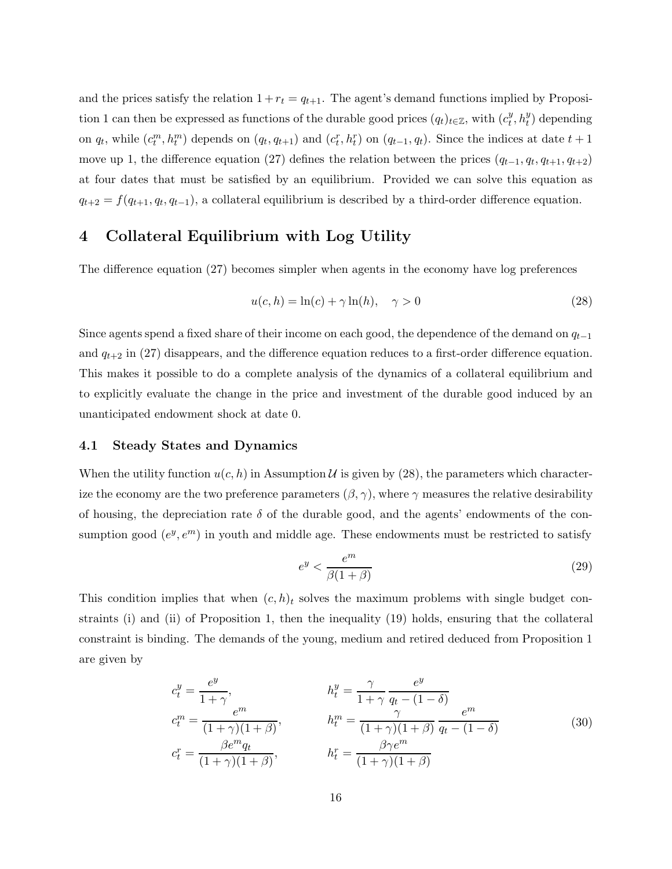and the prices satisfy the relation  $1 + r_t = q_{t+1}$ . The agent's demand functions implied by Proposition 1 can then be expressed as functions of the durable good prices  $(q_t)_{t\in\mathbb{Z}}$ , with  $(c_t^y)$  $_t^y, h_t^y$  depending on  $q_t$ , while  $(c_t^m, h_t^m)$  depends on  $(q_t, q_{t+1})$  and  $(c_t^r, h_t^r)$  on  $(q_{t-1}, q_t)$ . Since the indices at date  $t+1$ move up 1, the difference equation (27) defines the relation between the prices  $(q_{t-1}, q_t, q_{t+1}, q_{t+2})$ at four dates that must be satisfied by an equilibrium. Provided we can solve this equation as  $q_{t+2} = f(q_{t+1}, q_t, q_{t-1})$ , a collateral equilibrium is described by a third-order difference equation.

## 4 Collateral Equilibrium with Log Utility

The difference equation (27) becomes simpler when agents in the economy have log preferences

$$
u(c, h) = \ln(c) + \gamma \ln(h), \quad \gamma > 0 \tag{28}
$$

Since agents spend a fixed share of their income on each good, the dependence of the demand on  $q_{t-1}$ and  $q_{t+2}$  in (27) disappears, and the difference equation reduces to a first-order difference equation. This makes it possible to do a complete analysis of the dynamics of a collateral equilibrium and to explicitly evaluate the change in the price and investment of the durable good induced by an unanticipated endowment shock at date 0.

#### 4.1 Steady States and Dynamics

When the utility function  $u(c, h)$  in Assumption U is given by (28), the parameters which characterize the economy are the two preference parameters  $(\beta, \gamma)$ , where  $\gamma$  measures the relative desirability of housing, the depreciation rate  $\delta$  of the durable good, and the agents' endowments of the consumption good  $(e^y, e^m)$  in youth and middle age. These endowments must be restricted to satisfy

$$
e^y < \frac{e^m}{\beta(1+\beta)}\tag{29}
$$

This condition implies that when  $(c, h)_t$  solves the maximum problems with single budget constraints (i) and (ii) of Proposition 1, then the inequality (19) holds, ensuring that the collateral constraint is binding. The demands of the young, medium and retired deduced from Proposition 1 are given by

$$
c_t^y = \frac{e^y}{1+\gamma},
$$
  
\n
$$
c_t^m = \frac{e^m}{(1+\gamma)(1+\beta)},
$$
  
\n
$$
h_t^y = \frac{\gamma}{1+\gamma} \frac{e^y}{q_t - (1-\delta)}
$$
  
\n
$$
h_t^m = \frac{\gamma}{(1+\gamma)(1+\beta)} \frac{e^m}{q_t - (1-\delta)}
$$
  
\n
$$
c_t^r = \frac{\beta e^m q_t}{(1+\gamma)(1+\beta)},
$$
  
\n
$$
h_t^r = \frac{\beta \gamma e^m}{(1+\gamma)(1+\beta)}
$$
  
\n(30)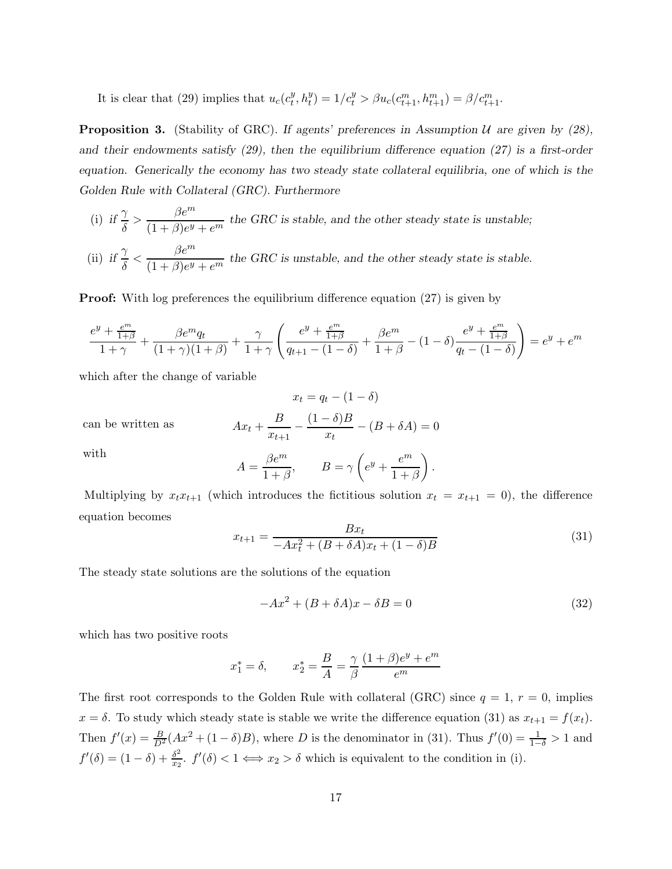It is clear that (29) implies that  $u_c(c_t^y)$  $(t^y, h^y_t) = 1/c^y_t > \beta u_c(c^m_{t+1}, h^m_{t+1}) = \beta/c^m_{t+1}.$ 

**Proposition 3.** (Stability of GRC). If agents' preferences in Assumption  $U$  are given by (28), and their endowments satisfy (29), then the equilibrium difference equation (27) is a first-order equation. Generically the economy has two steady state collateral equilibria, one of which is the Golden Rule with Collateral (GRC). Furthermore

(i) if 
$$
\frac{\gamma}{\delta} > \frac{\beta e^m}{(1+\beta)e^y + e^m}
$$
 the GRC is stable, and the other steady state is unstable;

(ii) if  $\frac{\gamma}{\delta} < \frac{\beta e^m}{(1+\beta)e^y}$  $\frac{p}{(1+\beta)e^y+e^m}$  the GRC is unstable, and the other steady state is stable.

**Proof:** With log preferences the equilibrium difference equation (27) is given by

$$
\frac{e^y + \frac{e^m}{1+\beta}}{1+\gamma} + \frac{\beta e^m q_t}{(1+\gamma)(1+\beta)} + \frac{\gamma}{1+\gamma} \left( \frac{e^y + \frac{e^m}{1+\beta}}{q_{t+1} - (1-\delta)} + \frac{\beta e^m}{1+\beta} - (1-\delta) \frac{e^y + \frac{e^m}{1+\beta}}{q_t - (1-\delta)} \right) = e^y + e^m
$$

which after the change of variable

$$
x_t = q_t - (1 - \delta)
$$

can be written as

$$
Ax_t + \frac{B}{x_{t+1}} - \frac{(1-\delta)B}{x_t} - (B + \delta A) = 0
$$

with

$$
A = \frac{\beta e^m}{1 + \beta}, \qquad B = \gamma \left( e^y + \frac{e^m}{1 + \beta} \right).
$$

Multiplying by  $x_t x_{t+1}$  (which introduces the fictitious solution  $x_t = x_{t+1} = 0$ ), the difference equation becomes

$$
x_{t+1} = \frac{Bx_t}{-Ax_t^2 + (B + \delta A)x_t + (1 - \delta)B}
$$
(31)

The steady state solutions are the solutions of the equation

$$
-Ax^{2} + (B + \delta A)x - \delta B = 0
$$
\n(32)

which has two positive roots

$$
x_1^* = \delta
$$
,  $x_2^* = \frac{B}{A} = \frac{\gamma}{\beta} \frac{(1+\beta)e^y + e^m}{e^m}$ 

The first root corresponds to the Golden Rule with collateral (GRC) since  $q = 1, r = 0$ , implies  $x = \delta$ . To study which steady state is stable we write the difference equation (31) as  $x_{t+1} = f(x_t)$ . Then  $f'(x) = \frac{B}{D^2}(Ax^2 + (1 - \delta)B)$ , where D is the denominator in (31). Thus  $f'(0) = \frac{1}{1-\delta} > 1$  and  $f'(\delta) = (1 - \delta) + \frac{\delta^2}{r_0}$  $\frac{\delta^2}{x_2}$ .  $f'(\delta) < 1 \Longleftrightarrow x_2 > \delta$  which is equivalent to the condition in (i).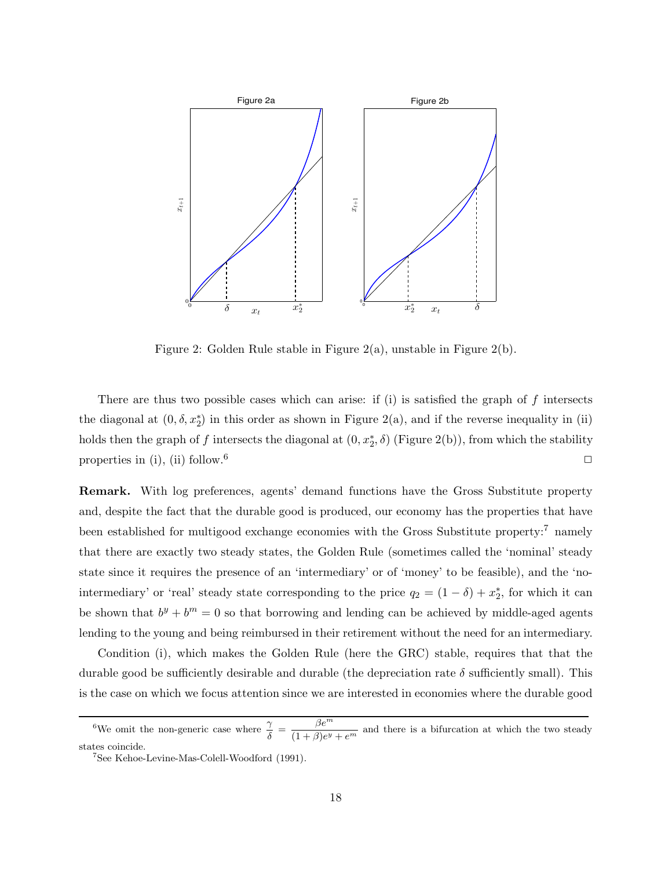

Figure 2: Golden Rule stable in Figure 2(a), unstable in Figure 2(b).

There are thus two possible cases which can arise: if (i) is satisfied the graph of  $f$  intersects the diagonal at  $(0, \delta, x_2^*)$  in this order as shown in Figure 2(a), and if the reverse inequality in (ii) holds then the graph of f intersects the diagonal at  $(0, x_2^*, \delta)$  (Figure 2(b)), from which the stability properties in (i), (ii) follow.<sup>6</sup>

Remark. With log preferences, agents' demand functions have the Gross Substitute property and, despite the fact that the durable good is produced, our economy has the properties that have been established for multigood exchange economies with the Gross Substitute property:<sup>7</sup> namely that there are exactly two steady states, the Golden Rule (sometimes called the 'nominal' steady state since it requires the presence of an 'intermediary' or of 'money' to be feasible), and the 'nointermediary' or 'real' steady state corresponding to the price  $q_2 = (1 - \delta) + x_2^*$ , for which it can be shown that  $b^y + b^m = 0$  so that borrowing and lending can be achieved by middle-aged agents lending to the young and being reimbursed in their retirement without the need for an intermediary.

Condition (i), which makes the Golden Rule (here the GRC) stable, requires that that the durable good be sufficiently desirable and durable (the depreciation rate  $\delta$  sufficiently small). This is the case on which we focus attention since we are interested in economies where the durable good

<sup>&</sup>lt;sup>6</sup>We omit the non-generic case where  $\frac{\gamma}{\delta} = \frac{\beta e^m}{(1+\beta)e^y}$  $\frac{e^{-(x-1)}}{(1+\beta)e^{y}+e^{m}}$  and there is a bifurcation at which the two steady states coincide.

<sup>7</sup> See Kehoe-Levine-Mas-Colell-Woodford (1991).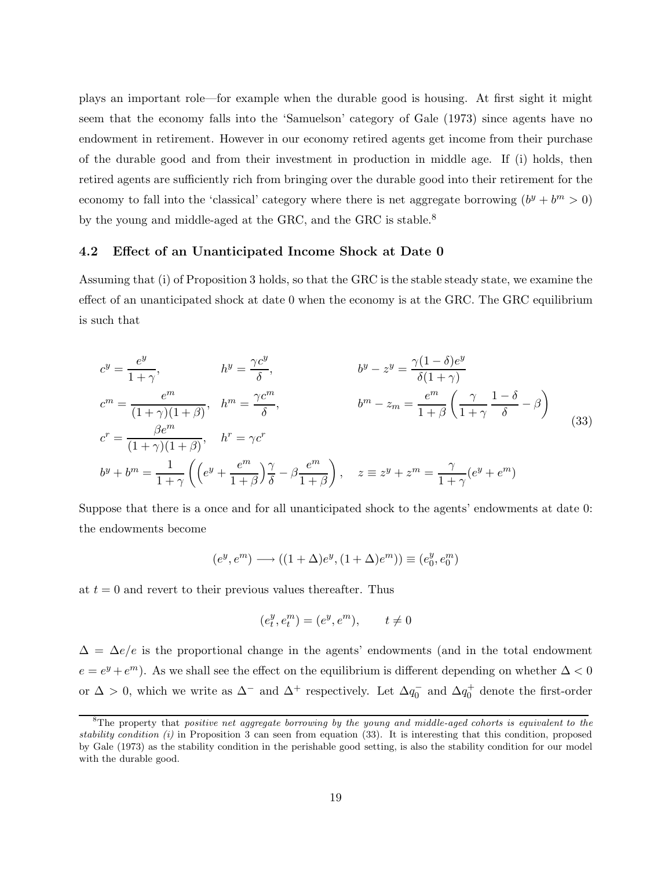plays an important role—for example when the durable good is housing. At first sight it might seem that the economy falls into the 'Samuelson' category of Gale (1973) since agents have no endowment in retirement. However in our economy retired agents get income from their purchase of the durable good and from their investment in production in middle age. If (i) holds, then retired agents are sufficiently rich from bringing over the durable good into their retirement for the economy to fall into the 'classical' category where there is net aggregate borrowing  $(b^y + b^m > 0)$ by the young and middle-aged at the GRC, and the GRC is stable.<sup>8</sup>

#### 4.2 Effect of an Unanticipated Income Shock at Date 0

Assuming that (i) of Proposition 3 holds, so that the GRC is the stable steady state, we examine the effect of an unanticipated shock at date 0 when the economy is at the GRC. The GRC equilibrium is such that

$$
c^{y} = \frac{e^{y}}{1+\gamma}, \qquad h^{y} = \frac{\gamma c^{y}}{\delta}, \qquad b^{y} - z^{y} = \frac{\gamma (1-\delta)e^{y}}{\delta(1+\gamma)}
$$
  
\n
$$
c^{m} = \frac{e^{m}}{(1+\gamma)(1+\beta)}, \quad h^{m} = \frac{\gamma c^{m}}{\delta}, \qquad b^{m} - z_{m} = \frac{e^{m}}{1+\beta} \left(\frac{\gamma}{1+\gamma} \frac{1-\delta}{\delta} - \beta\right)
$$
  
\n
$$
c^{r} = \frac{\beta e^{m}}{(1+\gamma)(1+\beta)}, \qquad h^{r} = \gamma c^{r}
$$
  
\n
$$
b^{y} + b^{m} = \frac{1}{1+\gamma} \left( \left(e^{y} + \frac{e^{m}}{1+\beta}\right) \frac{\gamma}{\delta} - \beta \frac{e^{m}}{1+\beta} \right), \qquad z \equiv z^{y} + z^{m} = \frac{\gamma}{1+\gamma} (e^{y} + e^{m})
$$
\n(33)

Suppose that there is a once and for all unanticipated shock to the agents' endowments at date 0: the endowments become

$$
(e^y,e^m)\longrightarrow ((1+\Delta)e^y,(1+\Delta)e^m))\equiv (e^y_0,e^m_0)
$$

at  $t = 0$  and revert to their previous values thereafter. Thus

$$
(e_t^y, e_t^m) = (e^y, e^m), \qquad t \neq 0
$$

 $\Delta = \Delta e/e$  is the proportional change in the agents' endowments (and in the total endowment  $e = e^y + e^m$ ). As we shall see the effect on the equilibrium is different depending on whether  $\Delta < 0$ or  $\Delta > 0$ , which we write as  $\Delta^-$  and  $\Delta^+$  respectively. Let  $\Delta q_0^-$  and  $\Delta q_0^+$  denote the first-order

 ${}^8$ The property that positive net aggregate borrowing by the young and middle-aged cohorts is equivalent to the stability condition  $(i)$  in Proposition 3 can seen from equation (33). It is interesting that this condition, proposed by Gale (1973) as the stability condition in the perishable good setting, is also the stability condition for our model with the durable good.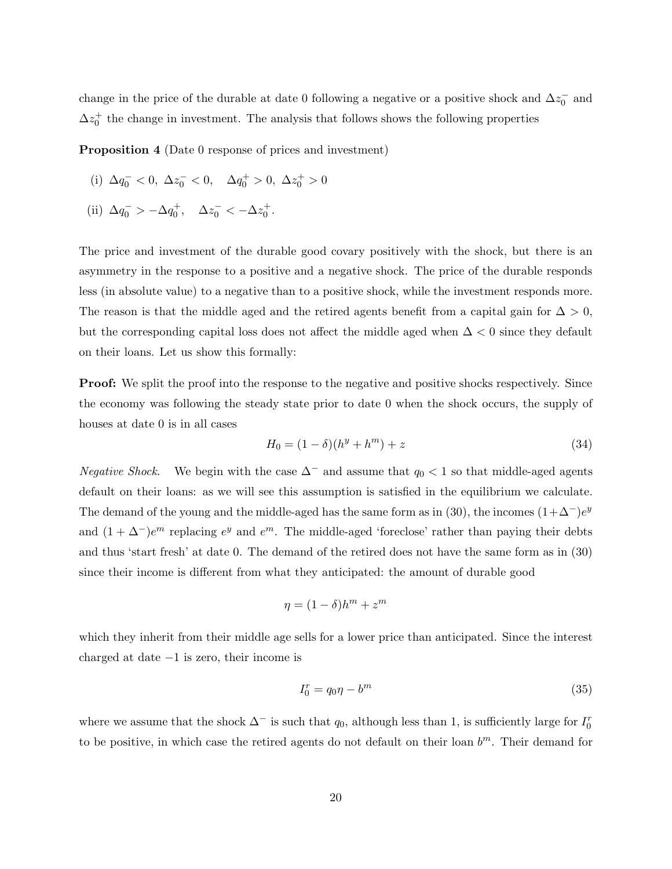change in the price of the durable at date 0 following a negative or a positive shock and  $\Delta z_0^-$  and  $\Delta z_0^+$  the change in investment. The analysis that follows shows the following properties

Proposition 4 (Date 0 response of prices and investment)

- (i)  $\Delta q_0^- < 0$ ,  $\Delta z_0^- < 0$ ,  $\Delta q_0^+ > 0$ ,  $\Delta z_0^+ > 0$
- (ii)  $\Delta q_0^- > -\Delta q_0^+, \quad \Delta z_0^- < -\Delta z_0^+.$

The price and investment of the durable good covary positively with the shock, but there is an asymmetry in the response to a positive and a negative shock. The price of the durable responds less (in absolute value) to a negative than to a positive shock, while the investment responds more. The reason is that the middle aged and the retired agents benefit from a capital gain for  $\Delta > 0$ , but the corresponding capital loss does not affect the middle aged when  $\Delta < 0$  since they default on their loans. Let us show this formally:

**Proof:** We split the proof into the response to the negative and positive shocks respectively. Since the economy was following the steady state prior to date 0 when the shock occurs, the supply of houses at date 0 is in all cases

$$
H_0 = (1 - \delta)(h^y + h^m) + z \tag{34}
$$

Negative Shock. We begin with the case  $\Delta^-$  and assume that  $q_0 < 1$  so that middle-aged agents default on their loans: as we will see this assumption is satisfied in the equilibrium we calculate. The demand of the young and the middle-aged has the same form as in (30), the incomes  $(1+\Delta^{-})e^{y}$ and  $(1 + \Delta^{-})e^{m}$  replacing  $e^{y}$  and  $e^{m}$ . The middle-aged 'foreclose' rather than paying their debts and thus 'start fresh' at date 0. The demand of the retired does not have the same form as in (30) since their income is different from what they anticipated: the amount of durable good

$$
\eta = (1 - \delta)h^m + z^m
$$

which they inherit from their middle age sells for a lower price than anticipated. Since the interest charged at date −1 is zero, their income is

$$
I_0^r = q_0 \eta - b^m \tag{35}
$$

where we assume that the shock  $\Delta^-$  is such that  $q_0$ , although less than 1, is sufficiently large for  $I_0^r$ to be positive, in which case the retired agents do not default on their loan  $b<sup>m</sup>$ . Their demand for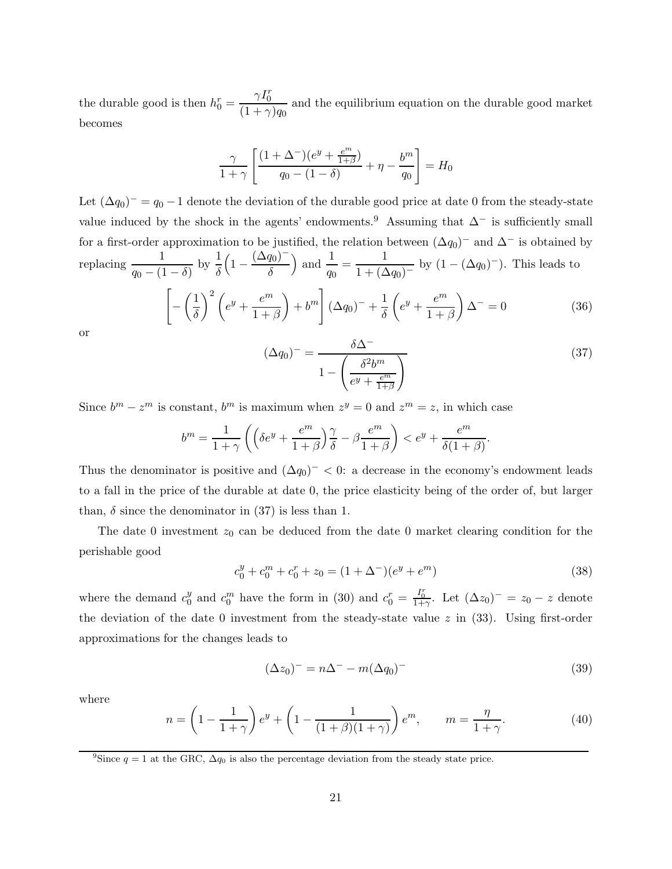the durable good is then  $h_0^r =$  $\gamma I_0^r$  $\frac{1}{(1 + \gamma)q_0}$  and the equilibrium equation on the durable good market becomes

$$
\frac{\gamma}{1+\gamma}\left[\frac{(1+\Delta^-)(e^y+\frac{e^m}{1+\beta})}{q_0-(1-\delta)}+\eta-\frac{b^m}{q_0}\right]=H_0
$$

Let  $(\Delta q_0)^{-} = q_0 - 1$  denote the deviation of the durable good price at date 0 from the steady-state value induced by the shock in the agents' endowments.<sup>9</sup> Assuming that  $\Delta^-$  is sufficiently small for a first-order approximation to be justified, the relation between  $(\Delta q_0)^-$  and  $\Delta^-$  is obtained by replacing  $\frac{1}{\sqrt{1}}$  $q_0 - (1 - \delta)$ by  $\frac{1}{\delta}$  $\left(1-\frac{(\Delta q_0)^{-1}}{s}\right)$ δ ) and  $\frac{1}{2}$  $\frac{1}{q_0} = \frac{1}{1 + (\Delta)}$  $\frac{1}{1 + (\Delta q_0)^{-}}$  by  $(1 - (\Delta q_0)^{-})$ . This leads to  $\sqrt{ }$ 1

$$
-\left(\frac{1}{\delta}\right)^2 \left(e^y + \frac{e^m}{1+\beta}\right) + b^m\right] (\Delta q_0)^{-} + \frac{1}{\delta} \left(e^y + \frac{e^m}{1+\beta}\right) \Delta^{-} = 0 \tag{36}
$$

or

$$
\Delta q_0)^{-} = \frac{\delta \Delta^{-}}{1 - \left(\frac{\delta^2 b^m}{e^y + \frac{e^m}{1 + \beta}}\right)}
$$
(37)

Since  $b^m - z^m$  is constant,  $b^m$  is maximum when  $z^y = 0$  and  $z^m = z$ , in which case

 $($ 

$$
b^m = \frac{1}{1+\gamma} \left( \left( \delta e^y + \frac{e^m}{1+\beta} \right) \frac{\gamma}{\delta} - \beta \frac{e^m}{1+\beta} \right) < e^y + \frac{e^m}{\delta(1+\beta)}.
$$

Thus the denominator is positive and  $(\Delta q_0)^{-} < 0$ : a decrease in the economy's endowment leads to a fall in the price of the durable at date 0, the price elasticity being of the order of, but larger than,  $\delta$  since the denominator in (37) is less than 1.

The date 0 investment  $z_0$  can be deduced from the date 0 market clearing condition for the perishable good

$$
c_0^y + c_0^m + c_0^r + z_0 = (1 + \Delta^{-})(e^y + e^m)
$$
\n(38)

where the demand  $c_0^y$ <sup>y</sup> and  $c_0^m$  have the form in (30) and  $c_0^r = \frac{I_0^r}{1+\gamma}$ . Let  $(\Delta z_0)^{-} = z_0 - z$  denote the deviation of the date 0 investment from the steady-state value  $z$  in (33). Using first-order approximations for the changes leads to

$$
(\Delta z_0)^{-} = n\Delta^{-} - m(\Delta q_0)^{-}
$$
\n(39)

where

$$
n = \left(1 - \frac{1}{1+\gamma}\right)e^y + \left(1 - \frac{1}{(1+\beta)(1+\gamma)}\right)e^m, \qquad m = \frac{\eta}{1+\gamma}.
$$
\n(40)

<sup>9</sup>Since  $q = 1$  at the GRC,  $\Delta q_0$  is also the percentage deviation from the steady state price.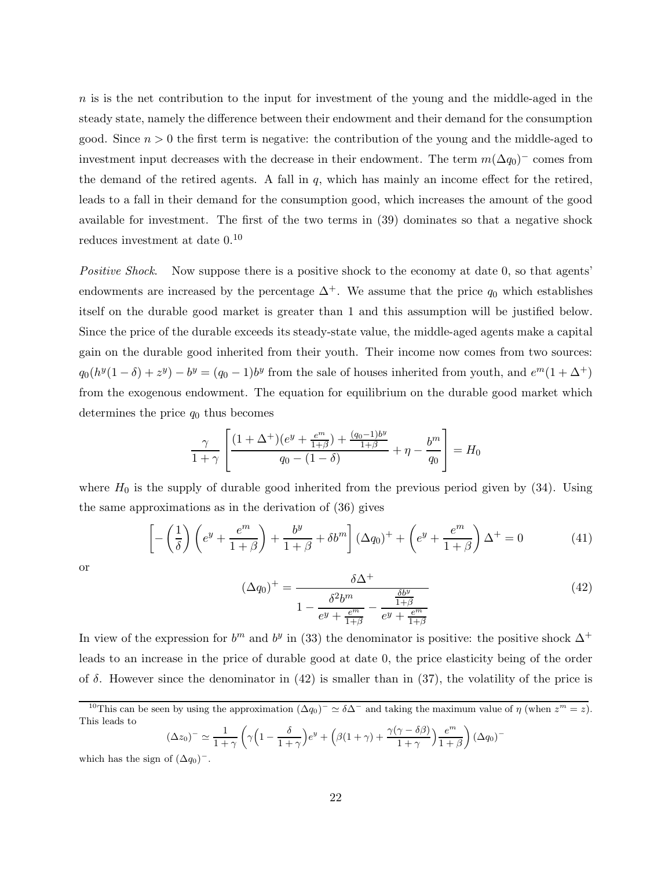$n$  is is the net contribution to the input for investment of the young and the middle-aged in the steady state, namely the difference between their endowment and their demand for the consumption good. Since  $n > 0$  the first term is negative: the contribution of the young and the middle-aged to investment input decreases with the decrease in their endowment. The term  $m(\Delta q_0)^-$  comes from the demand of the retired agents. A fall in  $q$ , which has mainly an income effect for the retired, leads to a fall in their demand for the consumption good, which increases the amount of the good available for investment. The first of the two terms in (39) dominates so that a negative shock reduces investment at date 0.<sup>10</sup>

Positive Shock. Now suppose there is a positive shock to the economy at date 0, so that agents' endowments are increased by the percentage  $\Delta^+$ . We assume that the price  $q_0$  which establishes itself on the durable good market is greater than 1 and this assumption will be justified below. Since the price of the durable exceeds its steady-state value, the middle-aged agents make a capital gain on the durable good inherited from their youth. Their income now comes from two sources:  $q_0(h^y(1-\delta) + z^y) - b^y = (q_0 - 1)b^y$  from the sale of houses inherited from youth, and  $e^m(1 + \Delta^+)$ from the exogenous endowment. The equation for equilibrium on the durable good market which determines the price  $q_0$  thus becomes

$$
\frac{\gamma}{1+\gamma}\left[\frac{(1+\Delta^+)(e^y+\frac{e^m}{1+\beta})+\frac{(q_0-1)b^y}{1+\beta}}{q_0-(1-\delta)}+\eta-\frac{b^m}{q_0}\right]=H_0
$$

where  $H_0$  is the supply of durable good inherited from the previous period given by (34). Using the same approximations as in the derivation of (36) gives

$$
\left[ -\left(\frac{1}{\delta}\right)\left(e^y + \frac{e^m}{1+\beta}\right) + \frac{b^y}{1+\beta} + \delta b^m \right] (\Delta q_0)^+ + \left(e^y + \frac{e^m}{1+\beta}\right) \Delta^+ = 0 \tag{41}
$$

or

$$
(\Delta q_0)^+ = \frac{\delta \Delta^+}{1 - \frac{\delta^2 b^m}{e^y + \frac{e^m}{1 + \beta}} - \frac{\frac{\delta b^y}{1 + \beta}}{e^y + \frac{e^m}{1 + \beta}}}
$$
(42)

In view of the expression for  $b^m$  and  $b^y$  in (33) the denominator is positive: the positive shock  $\Delta^+$ leads to an increase in the price of durable good at date 0, the price elasticity being of the order of  $\delta$ . However since the denominator in (42) is smaller than in (37), the volatility of the price is

$$
(\Delta z_0)^{-} \simeq \frac{1}{1+\gamma} \left( \gamma \left( 1 - \frac{\delta}{1+\gamma} \right) e^y + \left( \beta (1+\gamma) + \frac{\gamma (\gamma - \delta \beta)}{1+\gamma} \right) \frac{e^m}{1+\beta} \right) (\Delta q_0)^{-}
$$

which has the sign of  $(\Delta q_0)^-$ .

<sup>&</sup>lt;sup>10</sup>This can be seen by using the approximation  $(\Delta q_0)^{-} \simeq \delta \Delta^{-}$  and taking the maximum value of  $\eta$  (when  $z^m = z$ ). This leads to m −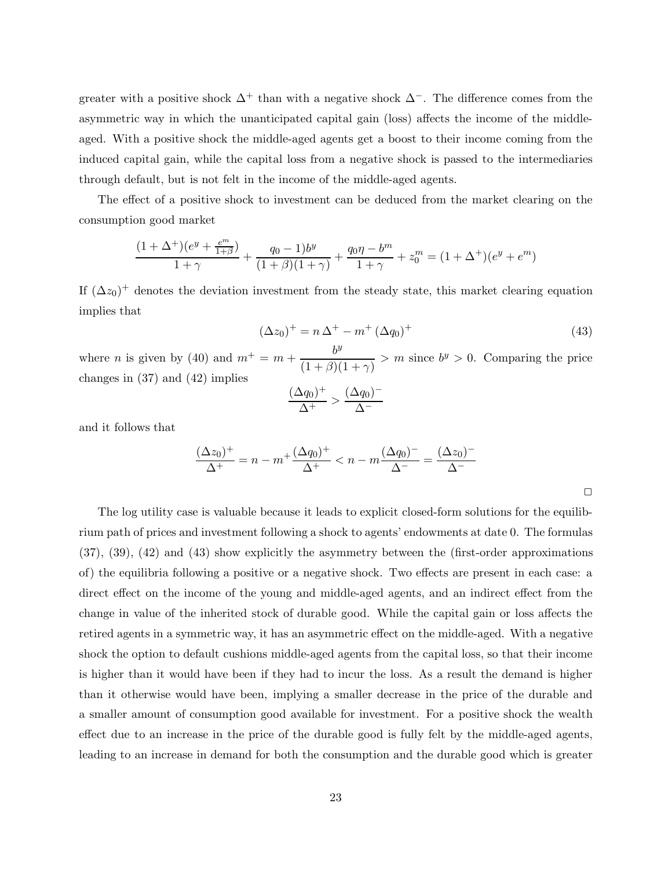greater with a positive shock  $\Delta^+$  than with a negative shock  $\Delta^-$ . The difference comes from the asymmetric way in which the unanticipated capital gain (loss) affects the income of the middleaged. With a positive shock the middle-aged agents get a boost to their income coming from the induced capital gain, while the capital loss from a negative shock is passed to the intermediaries through default, but is not felt in the income of the middle-aged agents.

The effect of a positive shock to investment can be deduced from the market clearing on the consumption good market

$$
\frac{(1+\Delta^+)(e^y+\frac{e^m}{1+\beta})}{1+\gamma}+\frac{q_0-1)b^y}{(1+\beta)(1+\gamma)}+\frac{q_0\eta-b^m}{1+\gamma}+z_0^m=(1+\Delta^+)(e^y+e^m)
$$

If  $(\Delta z_0)^+$  denotes the deviation investment from the steady state, this market clearing equation implies that

$$
(\Delta z_0)^+ = n \Delta^+ - m^+ (\Delta q_0)^+ \tag{43}
$$

 $\Box$ 

where *n* is given by (40) and  $m^+ = m + \frac{b^y}{(1+c^x)^y}$  $\frac{b^2}{(1+\beta)(1+\gamma)} > m$  since  $b^y > 0$ . Comparing the price changes in (37) and (42) implies

$$
\frac{(\Delta q_0)^+}{\Delta^+} > \frac{(\Delta q_0)^-}{\Delta^-}
$$

and it follows that

$$
\frac{(\Delta z_0)^+}{\Delta^+} = n - m^+ \frac{(\Delta q_0)^+}{\Delta^+} < n - m \frac{(\Delta q_0)^-}{\Delta^-} = \frac{(\Delta z_0)^-}{\Delta^-}
$$

The log utility case is valuable because it leads to explicit closed-form solutions for the equilibrium path of prices and investment following a shock to agents' endowments at date 0. The formulas (37), (39), (42) and (43) show explicitly the asymmetry between the (first-order approximations of) the equilibria following a positive or a negative shock. Two effects are present in each case: a direct effect on the income of the young and middle-aged agents, and an indirect effect from the change in value of the inherited stock of durable good. While the capital gain or loss affects the retired agents in a symmetric way, it has an asymmetric effect on the middle-aged. With a negative shock the option to default cushions middle-aged agents from the capital loss, so that their income is higher than it would have been if they had to incur the loss. As a result the demand is higher than it otherwise would have been, implying a smaller decrease in the price of the durable and a smaller amount of consumption good available for investment. For a positive shock the wealth effect due to an increase in the price of the durable good is fully felt by the middle-aged agents, leading to an increase in demand for both the consumption and the durable good which is greater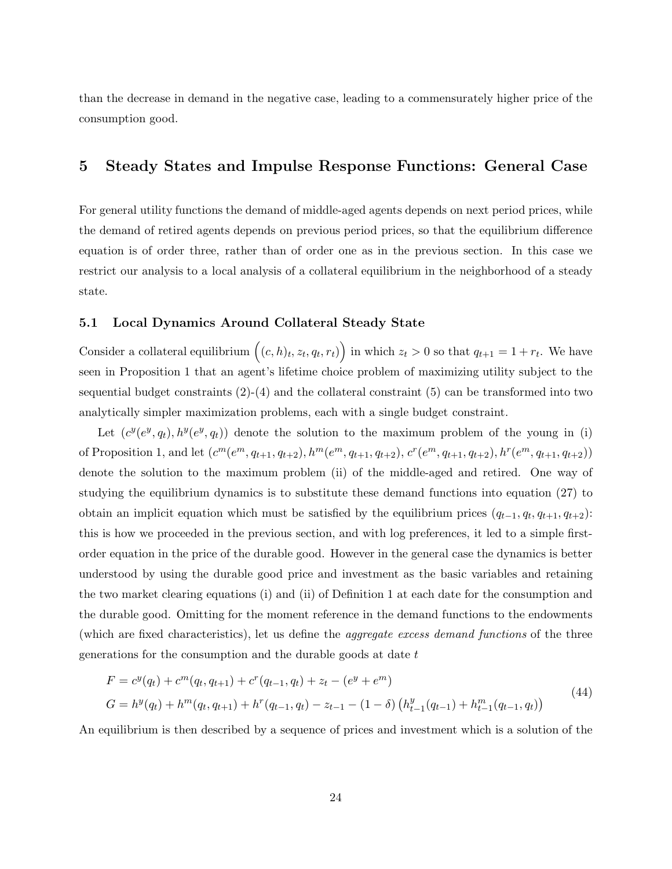than the decrease in demand in the negative case, leading to a commensurately higher price of the consumption good.

## 5 Steady States and Impulse Response Functions: General Case

For general utility functions the demand of middle-aged agents depends on next period prices, while the demand of retired agents depends on previous period prices, so that the equilibrium difference equation is of order three, rather than of order one as in the previous section. In this case we restrict our analysis to a local analysis of a collateral equilibrium in the neighborhood of a steady state.

#### 5.1 Local Dynamics Around Collateral Steady State

Consider a collateral equilibrium  $((c, h)_t, z_t, q_t, r_t)$  in which  $z_t > 0$  so that  $q_{t+1} = 1 + r_t$ . We have seen in Proposition 1 that an agent's lifetime choice problem of maximizing utility subject to the sequential budget constraints  $(2)-(4)$  and the collateral constraint  $(5)$  can be transformed into two analytically simpler maximization problems, each with a single budget constraint.

Let  $(c^y(e^y, q_t), h^y(e^y, q_t))$  denote the solution to the maximum problem of the young in (i) of Proposition 1, and let  $(c^m(e^m, q_{t+1}, q_{t+2}), h^m(e^m, q_{t+1}, q_{t+2}), c^r(e^m, q_{t+1}, q_{t+2}), h^r(e^m, q_{t+1}, q_{t+2}))$ denote the solution to the maximum problem (ii) of the middle-aged and retired. One way of studying the equilibrium dynamics is to substitute these demand functions into equation (27) to obtain an implicit equation which must be satisfied by the equilibrium prices  $(q_{t-1}, q_t, q_{t+1}, q_{t+2})$ : this is how we proceeded in the previous section, and with log preferences, it led to a simple firstorder equation in the price of the durable good. However in the general case the dynamics is better understood by using the durable good price and investment as the basic variables and retaining the two market clearing equations (i) and (ii) of Definition 1 at each date for the consumption and the durable good. Omitting for the moment reference in the demand functions to the endowments (which are fixed characteristics), let us define the aggregate excess demand functions of the three generations for the consumption and the durable goods at date  $t$ 

$$
F = c^{y}(q_{t}) + c^{m}(q_{t}, q_{t+1}) + c^{r}(q_{t-1}, q_{t}) + z_{t} - (e^{y} + e^{m})
$$
  
\n
$$
G = h^{y}(q_{t}) + h^{m}(q_{t}, q_{t+1}) + h^{r}(q_{t-1}, q_{t}) - z_{t-1} - (1 - \delta) \left( h^{y}_{t-1}(q_{t-1}) + h^{m}_{t-1}(q_{t-1}, q_{t}) \right)
$$
\n
$$
(44)
$$

An equilibrium is then described by a sequence of prices and investment which is a solution of the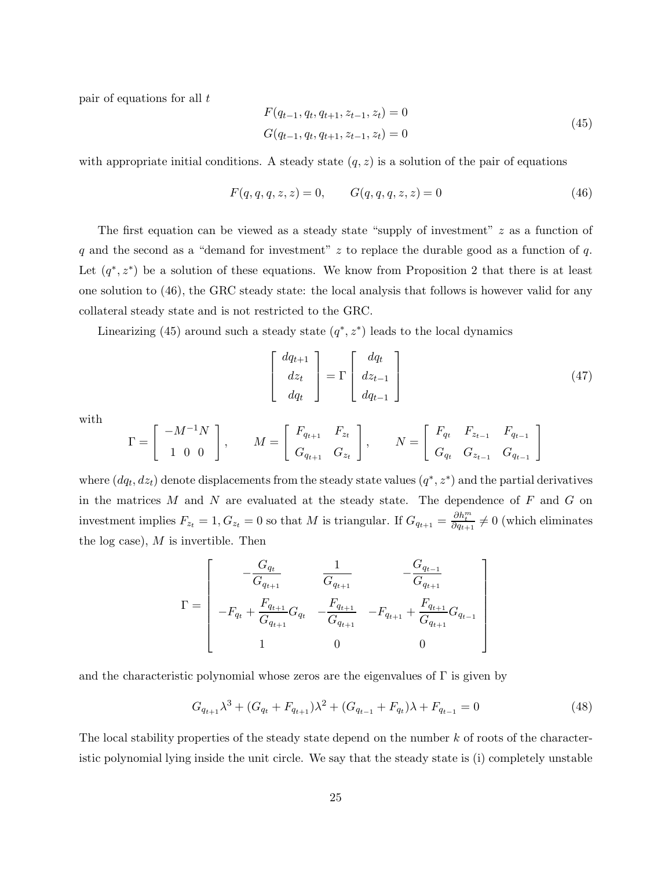pair of equations for all t

$$
F(q_{t-1}, q_t, q_{t+1}, z_{t-1}, z_t) = 0
$$
  
\n
$$
G(q_{t-1}, q_t, q_{t+1}, z_{t-1}, z_t) = 0
$$
\n(45)

with appropriate initial conditions. A steady state  $(q, z)$  is a solution of the pair of equations

$$
F(q, q, q, z, z) = 0, \t G(q, q, q, z, z) = 0 \t (46)
$$

The first equation can be viewed as a steady state "supply of investment"  $z$  as a function of  $q$  and the second as a "demand for investment"  $z$  to replace the durable good as a function of  $q$ . Let  $(q^*, z^*)$  be a solution of these equations. We know from Proposition 2 that there is at least one solution to (46), the GRC steady state: the local analysis that follows is however valid for any collateral steady state and is not restricted to the GRC.

Linearizing (45) around such a steady state  $(q^*, z^*)$  leads to the local dynamics

$$
\begin{bmatrix} dq_{t+1} \\ dz_t \\ dq_t \end{bmatrix} = \Gamma \begin{bmatrix} dq_t \\ dz_{t-1} \\ dq_{t-1} \end{bmatrix}
$$
 (47)

1  $\mathbf{I}$  $\mathbf{I}$  $\mathbf{I}$  $\mathbf{I}$  $\mathbf{I}$  $\mathbf{I}$  $\mathbf{I}$  $\mathbf{I}$ 

with

$$
\Gamma = \left[ \begin{array}{cc} -M^{-1}N \\ 1 & 0 \end{array} \right], \qquad M = \left[ \begin{array}{cc} F_{q_{t+1}} & F_{z_t} \\ G_{q_{t+1}} & G_{z_t} \end{array} \right], \qquad N = \left[ \begin{array}{cc} F_{q_t} & F_{z_{t-1}} & F_{q_{t-1}} \\ G_{q_t} & G_{z_{t-1}} & G_{q_{t-1}} \end{array} \right]
$$

where  $(dq_t, dz_t)$  denote displacements from the steady state values  $(q^*, z^*)$  and the partial derivatives in the matrices  $M$  and  $N$  are evaluated at the steady state. The dependence of  $F$  and  $G$  on investment implies  $F_{z_t} = 1, G_{z_t} = 0$  so that M is triangular. If  $G_{q_{t+1}} = \frac{\partial h_t^m}{\partial q_{t+1}} \neq 0$  (which eliminates the log case),  $M$  is invertible. Then

$$
\Gamma = \begin{bmatrix} -\frac{G_{q_t}}{G_{q_{t+1}}} & \frac{1}{G_{q_{t+1}}} & -\frac{G_{q_{t-1}}}{G_{q_{t+1}}}\\ -F_{q_t} + \frac{F_{q_{t+1}}}{G_{q_{t+1}}}G_{q_t} & -\frac{F_{q_{t+1}}}{G_{q_{t+1}}} & -F_{q_{t+1}} + \frac{F_{q_{t+1}}}{G_{q_{t+1}}}G_{q_{t-1}}\\ 1 & 0 & 0 \end{bmatrix}
$$

and the characteristic polynomial whose zeros are the eigenvalues of  $\Gamma$  is given by

$$
G_{q_{t+1}}\lambda^3 + (G_{q_t} + F_{q_{t+1}})\lambda^2 + (G_{q_{t-1}} + F_{q_t})\lambda + F_{q_{t-1}} = 0
$$
\n(48)

The local stability properties of the steady state depend on the number  $k$  of roots of the characteristic polynomial lying inside the unit circle. We say that the steady state is (i) completely unstable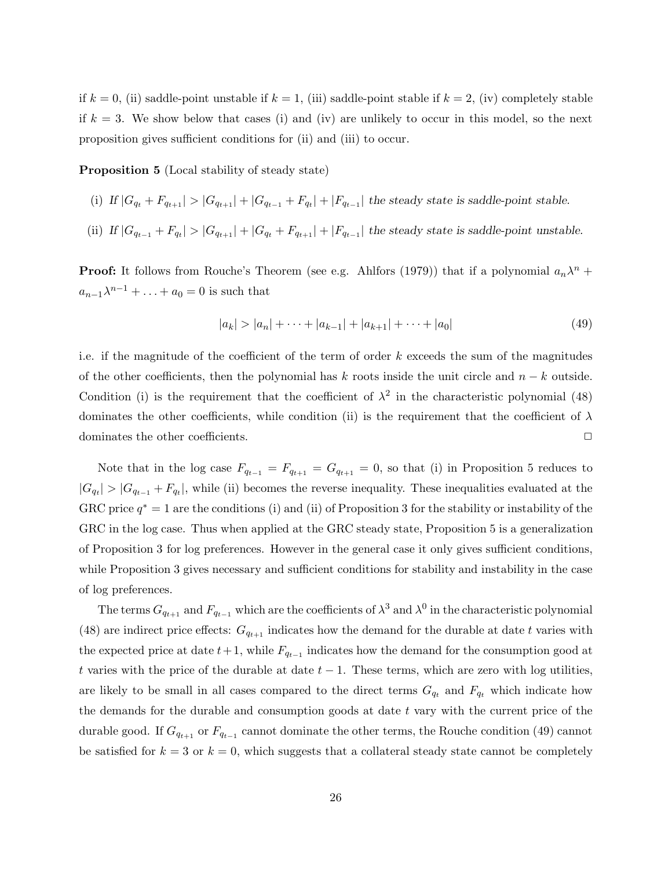if  $k = 0$ , (ii) saddle-point unstable if  $k = 1$ , (iii) saddle-point stable if  $k = 2$ , (iv) completely stable if  $k = 3$ . We show below that cases (i) and (iv) are unlikely to occur in this model, so the next proposition gives sufficient conditions for (ii) and (iii) to occur.

Proposition 5 (Local stability of steady state)

- (i) If  $|G_{q_t} + F_{q_{t+1}}| > |G_{q_{t+1}}| + |G_{q_{t-1}} + F_{q_t}| + |F_{q_{t-1}}|$  the steady state is saddle-point stable.
- (ii) If  $|G_{q_{t-1}}+F_{q_t}| > |G_{q_{t+1}}|+|G_{q_t}+F_{q_{t+1}}|+|F_{q_{t-1}}|$  the steady state is saddle-point unstable.

**Proof:** It follows from Rouche's Theorem (see e.g. Ahlfors (1979)) that if a polynomial  $a_n\lambda^n$  +  $a_{n-1}\lambda^{n-1} + \ldots + a_0 = 0$  is such that

$$
|a_k| > |a_n| + \dots + |a_{k-1}| + |a_{k+1}| + \dots + |a_0| \tag{49}
$$

i.e. if the magnitude of the coefficient of the term of order  $k$  exceeds the sum of the magnitudes of the other coefficients, then the polynomial has k roots inside the unit circle and  $n - k$  outside. Condition (i) is the requirement that the coefficient of  $\lambda^2$  in the characteristic polynomial (48) dominates the other coefficients, while condition (ii) is the requirement that the coefficient of  $\lambda$ dominates the other coefficients.  $\Box$ 

Note that in the log case  $F_{q_{t-1}} = F_{q_{t+1}} = G_{q_{t+1}} = 0$ , so that (i) in Proposition 5 reduces to  $|G_{q_t}| > |G_{q_{t-1}} + F_{q_t}|$ , while (ii) becomes the reverse inequality. These inequalities evaluated at the GRC price  $q^* = 1$  are the conditions (i) and (ii) of Proposition 3 for the stability or instability of the GRC in the log case. Thus when applied at the GRC steady state, Proposition 5 is a generalization of Proposition 3 for log preferences. However in the general case it only gives sufficient conditions, while Proposition 3 gives necessary and sufficient conditions for stability and instability in the case of log preferences.

The terms  $G_{q_{t+1}}$  and  $F_{q_{t-1}}$  which are the coefficients of  $\lambda^3$  and  $\lambda^0$  in the characteristic polynomial (48) are indirect price effects:  $G_{q_{t+1}}$  indicates how the demand for the durable at date t varies with the expected price at date  $t+1$ , while  $F_{q_{t-1}}$  indicates how the demand for the consumption good at t varies with the price of the durable at date  $t - 1$ . These terms, which are zero with log utilities, are likely to be small in all cases compared to the direct terms  $G_{q_t}$  and  $F_{q_t}$  which indicate how the demands for the durable and consumption goods at date t vary with the current price of the durable good. If  $G_{q_{t+1}}$  or  $F_{q_{t-1}}$  cannot dominate the other terms, the Rouche condition (49) cannot be satisfied for  $k = 3$  or  $k = 0$ , which suggests that a collateral steady state cannot be completely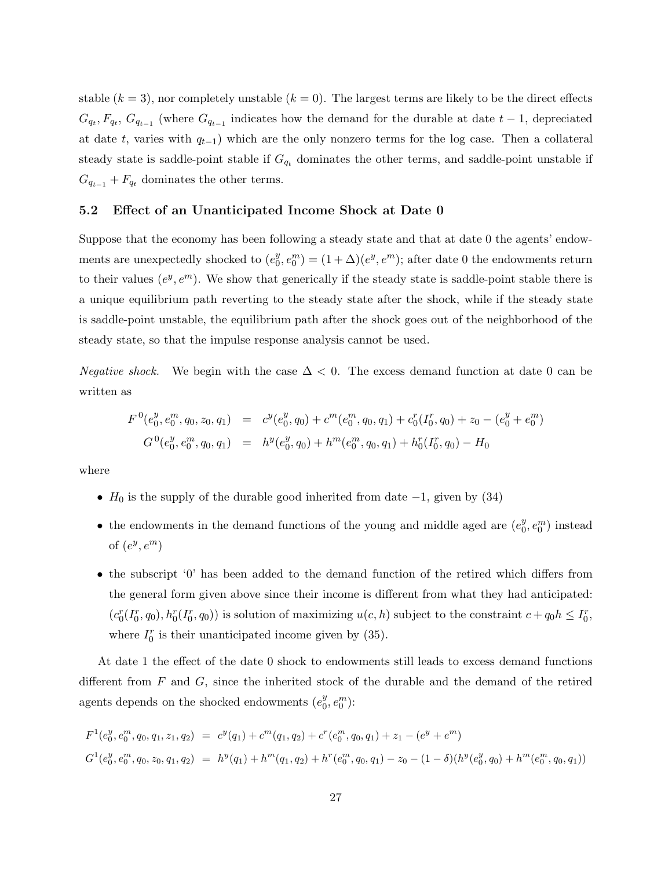stable  $(k = 3)$ , nor completely unstable  $(k = 0)$ . The largest terms are likely to be the direct effects  $G_{q_t}, F_{q_t}, G_{q_{t-1}}$  (where  $G_{q_{t-1}}$  indicates how the demand for the durable at date  $t-1$ , depreciated at date t, varies with  $q_{t-1}$ ) which are the only nonzero terms for the log case. Then a collateral steady state is saddle-point stable if  $G_{q_t}$  dominates the other terms, and saddle-point unstable if  $G_{q_{t-1}} + F_{q_t}$  dominates the other terms.

#### 5.2 Effect of an Unanticipated Income Shock at Date 0

Suppose that the economy has been following a steady state and that at date 0 the agents' endowments are unexpectedly shocked to  $(e_0^y)$  $\mathbf{C}_0^y, \mathbf{e}_0^m$ ) =  $(1 + \Delta)(\mathbf{e}^y, \mathbf{e}^m)$ ; after date 0 the endowments return to their values  $(e^y, e^m)$ . We show that generically if the steady state is saddle-point stable there is a unique equilibrium path reverting to the steady state after the shock, while if the steady state is saddle-point unstable, the equilibrium path after the shock goes out of the neighborhood of the steady state, so that the impulse response analysis cannot be used.

*Negative shock.* We begin with the case  $\Delta < 0$ . The excess demand function at date 0 can be written as

$$
F^{0}(e_0^{y}, e_0^{m}, q_0, z_0, q_1) = c^{y}(e_0^{y}, q_0) + c^{m}(e_0^{m}, q_0, q_1) + c_0^{r}(I_0^{r}, q_0) + z_0 - (e_0^{y} + e_0^{m})
$$
  

$$
G^{0}(e_0^{y}, e_0^{m}, q_0, q_1) = h^{y}(e_0^{y}, q_0) + h^{m}(e_0^{m}, q_0, q_1) + h_0^{r}(I_0^{r}, q_0) - H_0
$$

where

- $H_0$  is the supply of the durable good inherited from date  $-1$ , given by (34)
- the endowments in the demand functions of the young and middle aged are  $(e_0^y)$  $_0^y, e_0^m)$  instead of  $(e^y, e^m)$
- the subscript '0' has been added to the demand function of the retired which differs from the general form given above since their income is different from what they had anticipated:  $(c_0^r(I_0^r, q_0), h_0^r(I_0^r, q_0))$  is solution of maximizing  $u(c, h)$  subject to the constraint  $c + q_0 h \leq I_0^r$ , where  $I_0^r$  is their unanticipated income given by (35).

At date 1 the effect of the date 0 shock to endowments still leads to excess demand functions different from  $F$  and  $G$ , since the inherited stock of the durable and the demand of the retired agents depends on the shocked endowments  $(e_0^y)$  $_{0}^{y}, e_{0}^{m}$ ):

$$
F^{1}(e_{0}^{y}, e_{0}^{m}, q_{0}, q_{1}, z_{1}, q_{2}) = c^{y}(q_{1}) + c^{m}(q_{1}, q_{2}) + c^{r}(e_{0}^{m}, q_{0}, q_{1}) + z_{1} - (e^{y} + e^{m})
$$
  

$$
G^{1}(e_{0}^{y}, e_{0}^{m}, q_{0}, z_{0}, q_{1}, q_{2}) = h^{y}(q_{1}) + h^{m}(q_{1}, q_{2}) + h^{r}(e_{0}^{m}, q_{0}, q_{1}) - z_{0} - (1 - \delta)(h^{y}(e_{0}^{y}, q_{0}) + h^{m}(e_{0}^{m}, q_{0}, q_{1}))
$$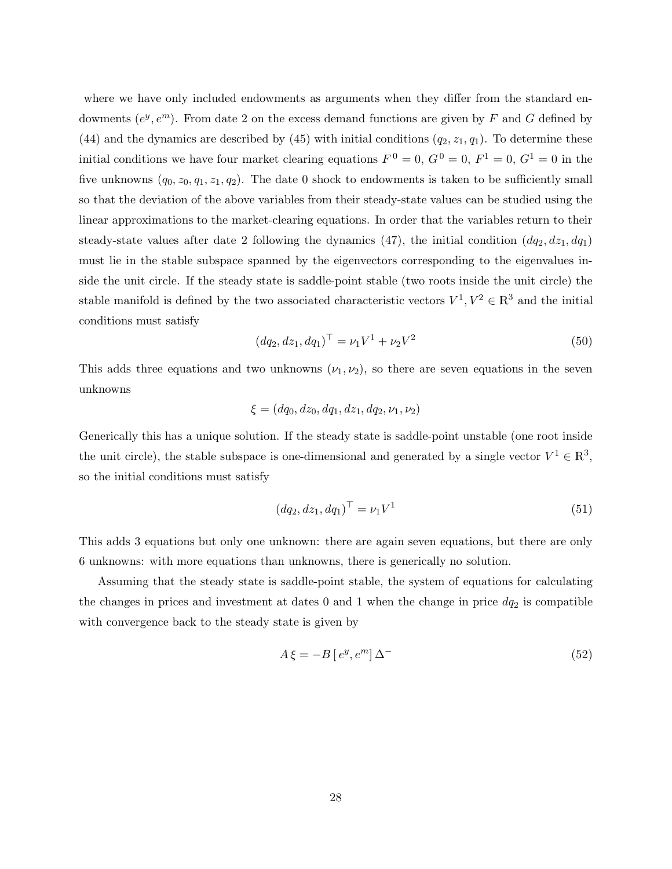where we have only included endowments as arguments when they differ from the standard endowments  $(e^y, e^m)$ . From date 2 on the excess demand functions are given by F and G defined by (44) and the dynamics are described by (45) with initial conditions  $(q_2, z_1, q_1)$ . To determine these initial conditions we have four market clearing equations  $F^0 = 0, G^0 = 0, F^1 = 0, G^1 = 0$  in the five unknowns  $(q_0, z_0, q_1, z_1, q_2)$ . The date 0 shock to endowments is taken to be sufficiently small so that the deviation of the above variables from their steady-state values can be studied using the linear approximations to the market-clearing equations. In order that the variables return to their steady-state values after date 2 following the dynamics (47), the initial condition  $(dq_2, dz_1, dq_1)$ must lie in the stable subspace spanned by the eigenvectors corresponding to the eigenvalues inside the unit circle. If the steady state is saddle-point stable (two roots inside the unit circle) the stable manifold is defined by the two associated characteristic vectors  $V^1, V^2 \in \mathbb{R}^3$  and the initial conditions must satisfy

$$
(dq_2, dz_1, dq_1)^\top = \nu_1 V^1 + \nu_2 V^2 \tag{50}
$$

This adds three equations and two unknowns  $(\nu_1, \nu_2)$ , so there are seven equations in the seven unknowns

$$
\xi = (dq_0, dz_0, dq_1, dz_1, dq_2, \nu_1, \nu_2)
$$

Generically this has a unique solution. If the steady state is saddle-point unstable (one root inside the unit circle), the stable subspace is one-dimensional and generated by a single vector  $V^1 \in \mathbb{R}^3$ , so the initial conditions must satisfy

$$
(dq_2, dz_1, dq_1)^{\top} = \nu_1 V^1 \tag{51}
$$

This adds 3 equations but only one unknown: there are again seven equations, but there are only 6 unknowns: with more equations than unknowns, there is generically no solution.

Assuming that the steady state is saddle-point stable, the system of equations for calculating the changes in prices and investment at dates 0 and 1 when the change in price  $dq_2$  is compatible with convergence back to the steady state is given by

$$
A \xi = -B \left[ e^y, e^m \right] \Delta^{-} \tag{52}
$$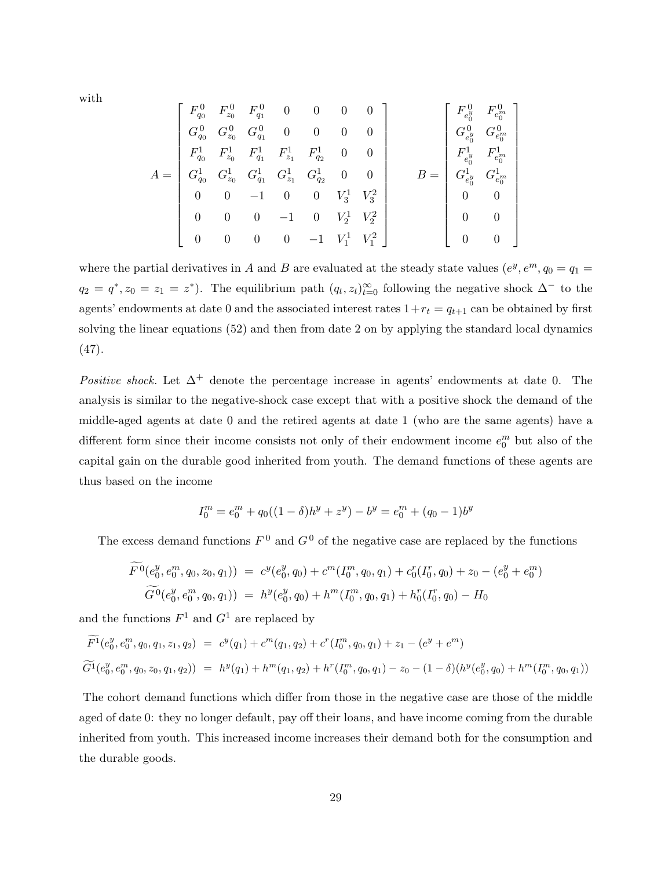with

$$
A = \begin{bmatrix} F_{q_0}^0 & F_{z_0}^0 & F_{q_1}^0 & 0 & 0 & 0 & 0 \\ G_{q_0}^0 & G_{z_0}^0 & G_{q_1}^0 & 0 & 0 & 0 & 0 \\ F_{q_0}^1 & F_{z_0}^1 & F_{q_1}^1 & F_{z_1}^1 & F_{q_2}^1 & 0 & 0 \\ G_{q_0}^1 & G_{z_0}^1 & G_{q_1}^1 & G_{z_1}^1 & G_{q_2}^1 & 0 & 0 \\ 0 & 0 & -1 & 0 & 0 & V_3^1 & V_3^2 \\ 0 & 0 & 0 & -1 & 0 & V_2^1 & V_2^2 \\ 0 & 0 & 0 & 0 & -1 & V_1^1 & V_1^2 \end{bmatrix} \begin{bmatrix} F_{e_0}^0 & F_{e_0}^0 & F_{e_0}^0 \\ G_{e_0}^0 & G_{e_0}^0 & G_{e_0}^0 \\ F_{e_0}^1 & F_{e_0}^1 & F_{e_0}^1 \\ 0 & 0 & 0 \\ 0 & 0 & 0 \\ 0 & 0 & 0 \end{bmatrix}
$$

where the partial derivatives in A and B are evaluated at the steady state values  $(e^y, e^m, q_0 = q_1 =$  $q_2 = q^*, z_0 = z_1 = z^*$ ). The equilibrium path  $(q_t, z_t)_{t=0}^{\infty}$  following the negative shock  $\Delta^-$  to the agents' endowments at date 0 and the associated interest rates  $1+r_t = q_{t+1}$  can be obtained by first solving the linear equations (52) and then from date 2 on by applying the standard local dynamics (47).

Positive shock. Let  $\Delta^+$  denote the percentage increase in agents' endowments at date 0. The analysis is similar to the negative-shock case except that with a positive shock the demand of the middle-aged agents at date 0 and the retired agents at date 1 (who are the same agents) have a different form since their income consists not only of their endowment income  $e_0^m$  but also of the capital gain on the durable good inherited from youth. The demand functions of these agents are thus based on the income

$$
I_0^m = e_0^m + q_0((1 - \delta)h^y + z^y) - b^y = e_0^m + (q_0 - 1)b^y
$$

The excess demand functions  $F^0$  and  $G^0$  of the negative case are replaced by the functions

$$
\widetilde{F}^{0}(e_0^y, e_0^m, q_0, z_0, q_1) = c^y(e_0^y, q_0) + c^m(I_0^m, q_0, q_1) + c_0^r(I_0^r, q_0) + z_0 - (e_0^y + e_0^m)
$$
  

$$
\widetilde{G}^{0}(e_0^y, e_0^m, q_0, q_1) = h^y(e_0^y, q_0) + h^m(I_0^m, q_0, q_1) + h_0^r(I_0^r, q_0) - H_0
$$

and the functions  $F^1$  and  $G^1$  are replaced by

$$
\widetilde{F}^1(e_0^y, e_0^m, q_0, q_1, z_1, q_2) = c^y(q_1) + c^m(q_1, q_2) + c^r(I_0^m, q_0, q_1) + z_1 - (e^y + e^m)
$$
\n
$$
\widetilde{G}^1(e_0^y, e_0^m, q_0, z_0, q_1, q_2) = h^y(q_1) + h^m(q_1, q_2) + h^r(I_0^m, q_0, q_1) - z_0 - (1 - \delta)(h^y(e_0^y, q_0) + h^m(I_0^m, q_0, q_1))
$$

The cohort demand functions which differ from those in the negative case are those of the middle aged of date 0: they no longer default, pay off their loans, and have income coming from the durable inherited from youth. This increased income increases their demand both for the consumption and the durable goods.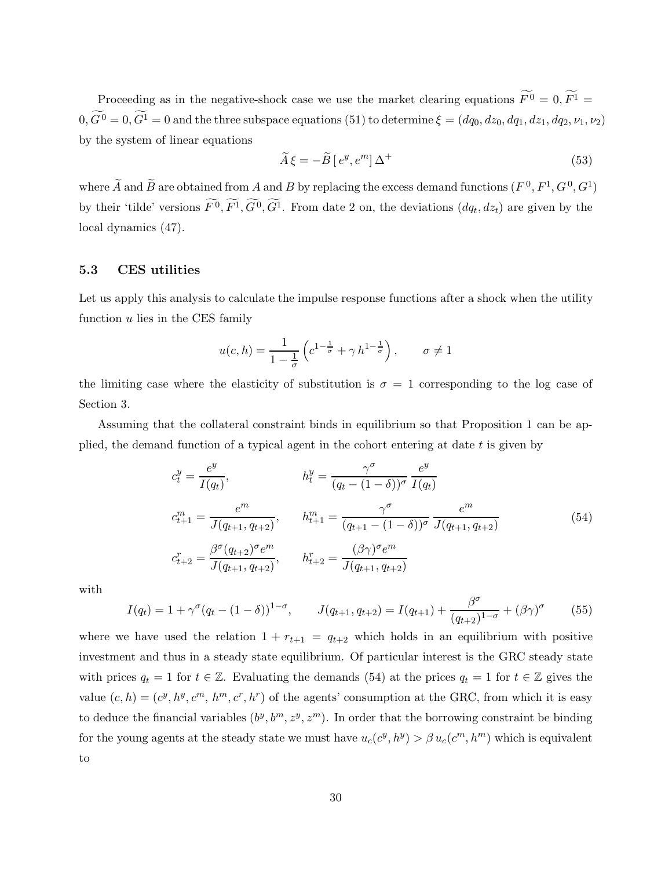Proceeding as in the negative-shock case we use the market clearing equations  $\widetilde{F}^0 = 0, \widetilde{F}^1 = 0$  $0, \widetilde{G}^0 = 0, \widetilde{G}^1 = 0$  and the three subspace equations (51) to determine  $\xi = (dq_0, dz_0, dq_1, dz_1, dq_2, \nu_1, \nu_2)$ by the system of linear equations

$$
\widetilde{A}\,\xi = -\widetilde{B}\left[e^y, e^m\right]\Delta^+\tag{53}
$$

where  $\widetilde{A}$  and  $\widetilde{B}$  are obtained from A and B by replacing the excess demand functions  $(F^0, F^1, G^0, G^1)$ by their 'tilde' versions  $F^0, F^1, G^0, G^1$ . From date 2 on, the deviations  $(dq_t, dz_t)$  are given by the local dynamics (47).

#### 5.3 CES utilities

Let us apply this analysis to calculate the impulse response functions after a shock when the utility function  $u$  lies in the CES family

$$
u(c,h) = \frac{1}{1 - \frac{1}{\sigma}} \left( c^{1 - \frac{1}{\sigma}} + \gamma h^{1 - \frac{1}{\sigma}} \right), \qquad \sigma \neq 1
$$

the limiting case where the elasticity of substitution is  $\sigma = 1$  corresponding to the log case of Section 3.

Assuming that the collateral constraint binds in equilibrium so that Proposition 1 can be applied, the demand function of a typical agent in the cohort entering at date  $t$  is given by

$$
c_t^y = \frac{e^y}{I(q_t)}, \qquad h_t^y = \frac{\gamma^\sigma}{(q_t - (1 - \delta))^\sigma} \frac{e^y}{I(q_t)}
$$
  

$$
c_{t+1}^m = \frac{e^m}{J(q_{t+1}, q_{t+2})}, \qquad h_{t+1}^m = \frac{\gamma^\sigma}{(q_{t+1} - (1 - \delta))^\sigma} \frac{e^m}{J(q_{t+1}, q_{t+2})}
$$
  

$$
c_{t+2}^r = \frac{\beta^\sigma (q_{t+2})^\sigma e^m}{J(q_{t+1}, q_{t+2})}, \qquad h_{t+2}^r = \frac{(\beta \gamma)^\sigma e^m}{J(q_{t+1}, q_{t+2})}
$$
  
(54)

with

$$
I(q_t) = 1 + \gamma^{\sigma} (q_t - (1 - \delta))^{1 - \sigma}, \qquad J(q_{t+1}, q_{t+2}) = I(q_{t+1}) + \frac{\beta^{\sigma}}{(q_{t+2})^{1 - \sigma}} + (\beta \gamma)^{\sigma} \tag{55}
$$

where we have used the relation  $1 + r_{t+1} = q_{t+2}$  which holds in an equilibrium with positive investment and thus in a steady state equilibrium. Of particular interest is the GRC steady state with prices  $q_t = 1$  for  $t \in \mathbb{Z}$ . Evaluating the demands (54) at the prices  $q_t = 1$  for  $t \in \mathbb{Z}$  gives the value  $(c, h) = (c^y, h^y, c^m, h^m, c^r, h^r)$  of the agents' consumption at the GRC, from which it is easy to deduce the financial variables  $(b^y, b^m, z^y, z^m)$ . In order that the borrowing constraint be binding for the young agents at the steady state we must have  $u_c(c^y, h^y) > \beta u_c(c^m, h^m)$  which is equivalent to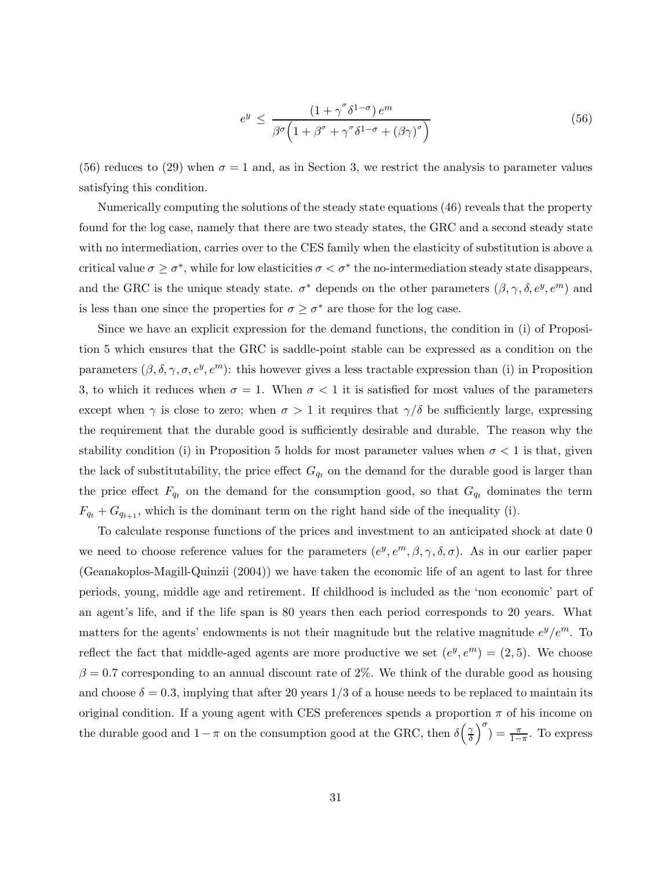$$
e^{y} \leq \frac{\left(1+\gamma^{\sigma}\delta^{1-\sigma}\right)e^{m}}{\beta^{\sigma}\left(1+\beta^{\sigma}+\gamma^{\sigma}\delta^{1-\sigma}+\left(\beta\gamma\right)^{\sigma}\right)}
$$
(56)

(56) reduces to (29) when  $\sigma = 1$  and, as in Section 3, we restrict the analysis to parameter values satisfying this condition.

Numerically computing the solutions of the steady state equations (46) reveals that the property found for the log case, namely that there are two steady states, the GRC and a second steady state with no intermediation, carries over to the CES family when the elasticity of substitution is above a critical value  $\sigma \geq \sigma^*$ , while for low elasticities  $\sigma < \sigma^*$  the no-intermediation steady state disappears, and the GRC is the unique steady state.  $\sigma^*$  depends on the other parameters  $(\beta, \gamma, \delta, e^y, e^m)$  and is less than one since the properties for  $\sigma \geq \sigma^*$  are those for the log case.

Since we have an explicit expression for the demand functions, the condition in (i) of Proposition 5 which ensures that the GRC is saddle-point stable can be expressed as a condition on the parameters  $(\beta, \delta, \gamma, \sigma, e^y, e^m)$ : this however gives a less tractable expression than (i) in Proposition 3, to which it reduces when  $\sigma = 1$ . When  $\sigma < 1$  it is satisfied for most values of the parameters except when  $\gamma$  is close to zero; when  $\sigma > 1$  it requires that  $\gamma/\delta$  be sufficiently large, expressing the requirement that the durable good is sufficiently desirable and durable. The reason why the stability condition (i) in Proposition 5 holds for most parameter values when  $\sigma < 1$  is that, given the lack of substitutability, the price effect  $G_{q_t}$  on the demand for the durable good is larger than the price effect  $F_{q_t}$  on the demand for the consumption good, so that  $G_{q_t}$  dominates the term  $F_{q_t} + G_{q_{t+1}}$ , which is the dominant term on the right hand side of the inequality (i).

To calculate response functions of the prices and investment to an anticipated shock at date 0 we need to choose reference values for the parameters  $(e^y, e^m, \beta, \gamma, \delta, \sigma)$ . As in our earlier paper (Geanakoplos-Magill-Quinzii (2004)) we have taken the economic life of an agent to last for three periods, young, middle age and retirement. If childhood is included as the 'non economic' part of an agent's life, and if the life span is 80 years then each period corresponds to 20 years. What matters for the agents' endowments is not their magnitude but the relative magnitude  $e^y/e^m$ . To reflect the fact that middle-aged agents are more productive we set  $(e^y, e^m) = (2, 5)$ . We choose  $\beta = 0.7$  corresponding to an annual discount rate of 2%. We think of the durable good as housing and choose  $\delta = 0.3$ , implying that after 20 years  $1/3$  of a house needs to be replaced to maintain its original condition. If a young agent with CES preferences spends a proportion  $\pi$  of his income on the durable good and  $1 - \pi$  on the consumption good at the GRC, then  $\delta\left(\frac{\gamma}{\delta}\right)$ δ  $\int_{0}^{\sigma}$  =  $\frac{\pi}{1-\pi}$ . To express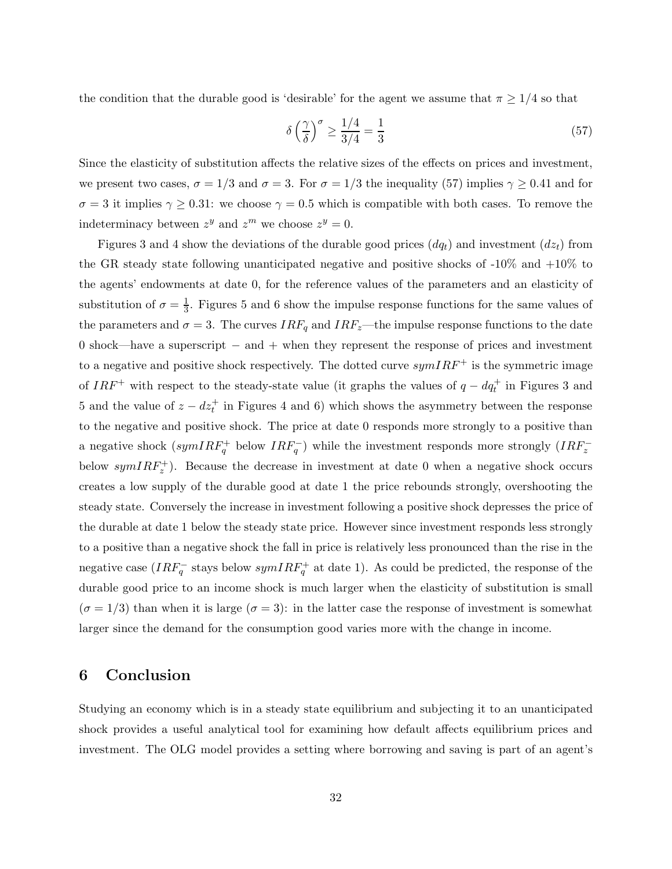the condition that the durable good is 'desirable' for the agent we assume that  $\pi \geq 1/4$  so that

$$
\delta \left(\frac{\gamma}{\delta}\right)^{\sigma} \ge \frac{1/4}{3/4} = \frac{1}{3} \tag{57}
$$

Since the elasticity of substitution affects the relative sizes of the effects on prices and investment, we present two cases,  $\sigma = 1/3$  and  $\sigma = 3$ . For  $\sigma = 1/3$  the inequality (57) implies  $\gamma \geq 0.41$  and for  $\sigma = 3$  it implies  $\gamma \ge 0.31$ : we choose  $\gamma = 0.5$  which is compatible with both cases. To remove the indeterminacy between  $z^y$  and  $z^m$  we choose  $z^y = 0$ .

Figures 3 and 4 show the deviations of the durable good prices  $(dq_t)$  and investment  $(dz_t)$  from the GR steady state following unanticipated negative and positive shocks of -10% and +10% to the agents' endowments at date 0, for the reference values of the parameters and an elasticity of substitution of  $\sigma = \frac{1}{3}$  $\frac{1}{3}$ . Figures 5 and 6 show the impulse response functions for the same values of the parameters and  $\sigma = 3$ . The curves  $IRF_q$  and  $IRF_z$ —the impulse response functions to the date 0 shock—have a superscript − and + when they represent the response of prices and investment to a negative and positive shock respectively. The dotted curve  $symIRF^+$  is the symmetric image of  $IRF^+$  with respect to the steady-state value (it graphs the values of  $q - dq_t^+$  in Figures 3 and 5 and the value of  $z - dz_t^+$  in Figures 4 and 6) which shows the asymmetry between the response to the negative and positive shock. The price at date 0 responds more strongly to a positive than a negative shock  $(symIRF_q^+$  below  $IRF_q^-$ ) while the investment responds more strongly  $(IRF_z^-)$ below  $symIRF_z^+$ ). Because the decrease in investment at date 0 when a negative shock occurs creates a low supply of the durable good at date 1 the price rebounds strongly, overshooting the steady state. Conversely the increase in investment following a positive shock depresses the price of the durable at date 1 below the steady state price. However since investment responds less strongly to a positive than a negative shock the fall in price is relatively less pronounced than the rise in the negative case  $(IRF_q^-)$  stays below  $symIRF_q^+$  at date 1). As could be predicted, the response of the durable good price to an income shock is much larger when the elasticity of substitution is small  $(\sigma = 1/3)$  than when it is large  $(\sigma = 3)$ : in the latter case the response of investment is somewhat larger since the demand for the consumption good varies more with the change in income.

## 6 Conclusion

Studying an economy which is in a steady state equilibrium and subjecting it to an unanticipated shock provides a useful analytical tool for examining how default affects equilibrium prices and investment. The OLG model provides a setting where borrowing and saving is part of an agent's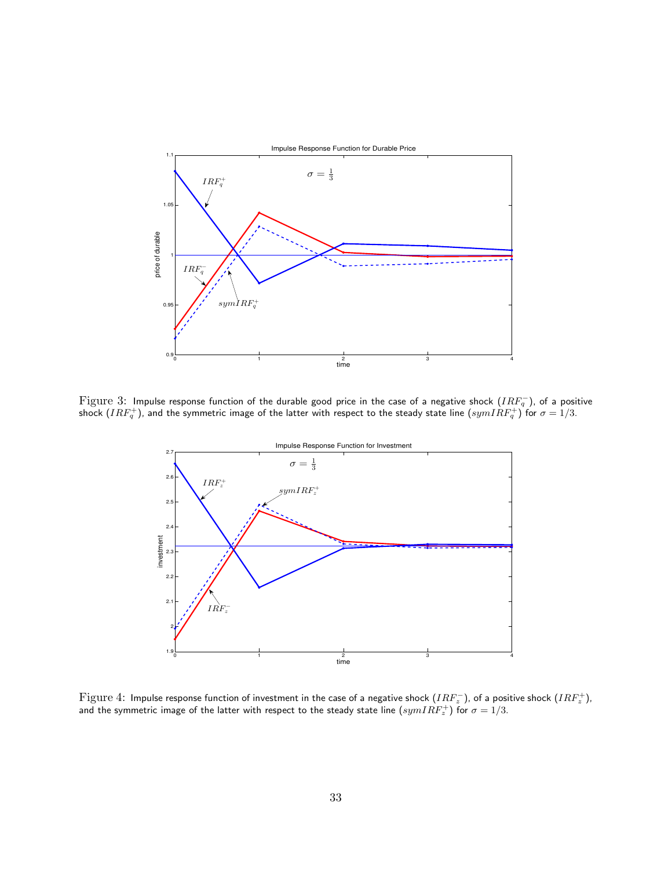

 $\bar{\rm Figure~3:}$  Impulse response function of the durable good price in the case of a negative shock  $(IRF_q^-)$ , of a positive shock  $(IRF_q^+)$ , and the symmetric image of the latter with respect to the steady state line  $(symIRF_q^+)$  for  $\sigma=1/3.$ 



 $\rm Figure~4\colon$  Impulse response function of investment in the case of a negative shock  $(IRF_z^-)$ , of a positive shock  $(IRF_z^+)$ , and the symmetric image of the latter with respect to the steady state line  $(symIRF_z^+)$  for  $\sigma=1/3.$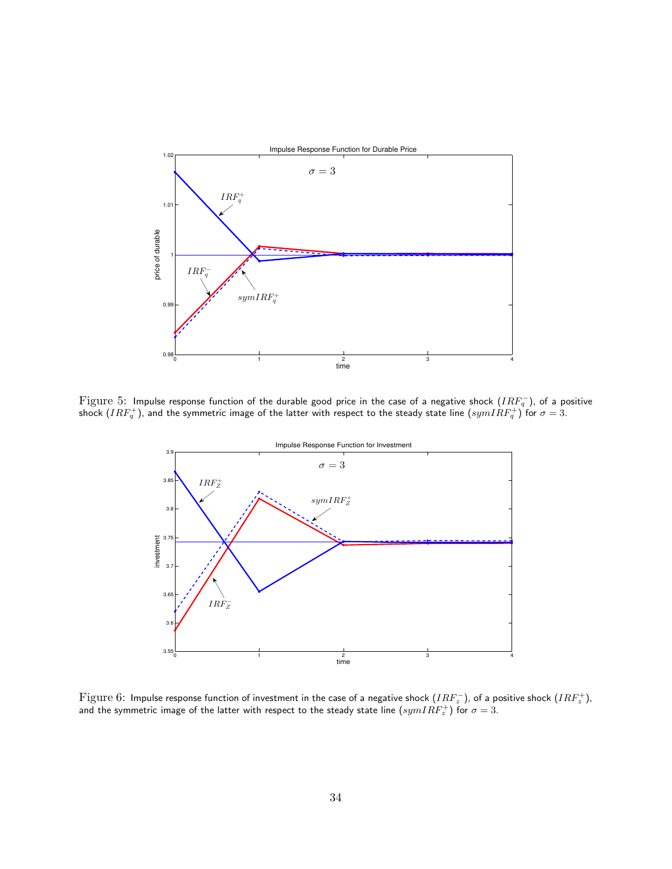

 $\rm{Figure~5:}$  Impulse response function of the durable good price in the case of a negative shock  $(IRF_q^-)$ , of a positive shock  $(IRF_q^+)$ , and the symmetric image of the latter with respect to the steady state line  $(symIRF_q^+)$  for  $\sigma=3.$ 



 $\rm Figure~6\colon$  Impulse response function of investment in the case of a negative shock  $(IRF_z^-)$ , of a positive shock  $(IRF_z^+)$ , and the symmetric image of the latter with respect to the steady state line  $(symIRF_z^+)$  for  $\sigma=3.$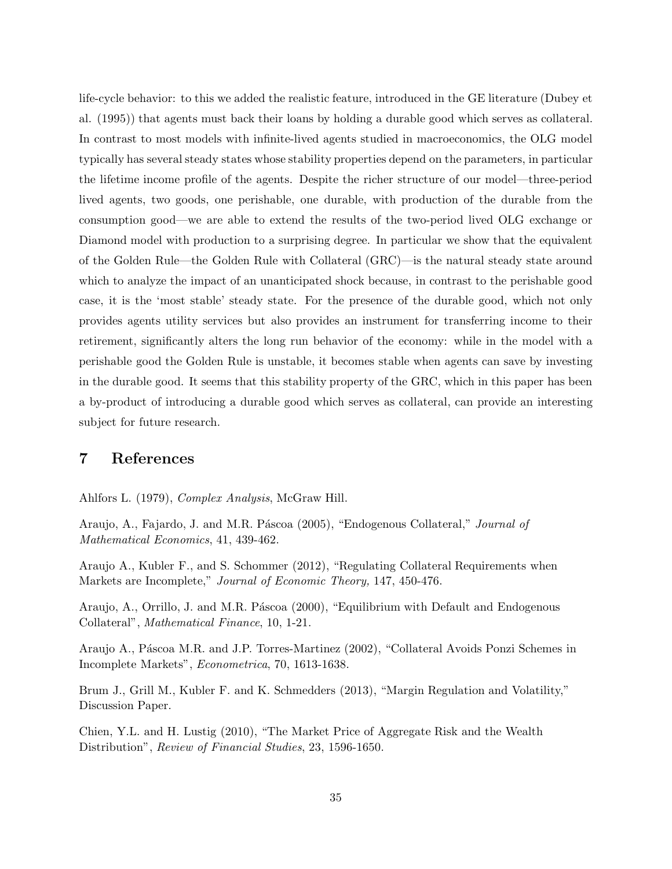life-cycle behavior: to this we added the realistic feature, introduced in the GE literature (Dubey et al. (1995)) that agents must back their loans by holding a durable good which serves as collateral. In contrast to most models with infinite-lived agents studied in macroeconomics, the OLG model typically has several steady states whose stability properties depend on the parameters, in particular the lifetime income profile of the agents. Despite the richer structure of our model—three-period lived agents, two goods, one perishable, one durable, with production of the durable from the consumption good—we are able to extend the results of the two-period lived OLG exchange or Diamond model with production to a surprising degree. In particular we show that the equivalent of the Golden Rule—the Golden Rule with Collateral (GRC)—is the natural steady state around which to analyze the impact of an unanticipated shock because, in contrast to the perishable good case, it is the 'most stable' steady state. For the presence of the durable good, which not only provides agents utility services but also provides an instrument for transferring income to their retirement, significantly alters the long run behavior of the economy: while in the model with a perishable good the Golden Rule is unstable, it becomes stable when agents can save by investing in the durable good. It seems that this stability property of the GRC, which in this paper has been a by-product of introducing a durable good which serves as collateral, can provide an interesting subject for future research.

## 7 References

Ahlfors L. (1979), Complex Analysis, McGraw Hill.

Araujo, A., Fajardo, J. and M.R. Páscoa (2005), "Endogenous Collateral," Journal of Mathematical Economics, 41, 439-462.

Araujo A., Kubler F., and S. Schommer (2012), "Regulating Collateral Requirements when Markets are Incomplete," Journal of Economic Theory, 147, 450-476.

Araujo, A., Orrillo, J. and M.R. Páscoa (2000), "Equilibrium with Default and Endogenous Collateral", Mathematical Finance, 10, 1-21.

Araujo A., Páscoa M.R. and J.P. Torres-Martinez (2002), "Collateral Avoids Ponzi Schemes in Incomplete Markets", Econometrica, 70, 1613-1638.

Brum J., Grill M., Kubler F. and K. Schmedders (2013), "Margin Regulation and Volatility," Discussion Paper.

Chien, Y.L. and H. Lustig (2010), "The Market Price of Aggregate Risk and the Wealth Distribution", Review of Financial Studies, 23, 1596-1650.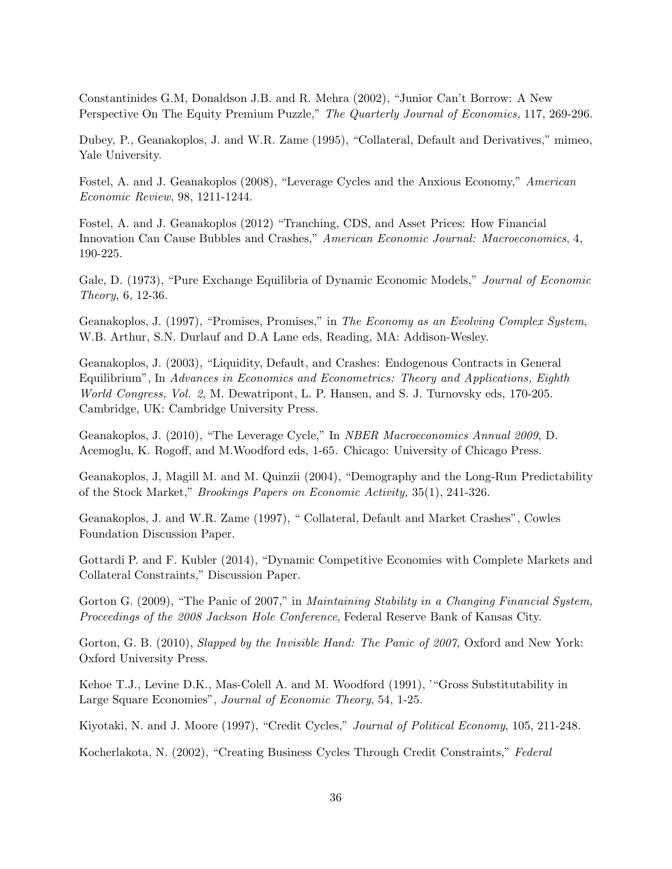Constantinides G.M, Donaldson J.B. and R. Mehra (2002), "Junior Can't Borrow: A New Perspective On The Equity Premium Puzzle," The Quarterly Journal of Economics, 117, 269-296.

Dubey, P., Geanakoplos, J. and W.R. Zame (1995), "Collateral, Default and Derivatives," mimeo, Yale University.

Fostel, A. and J. Geanakoplos (2008), "Leverage Cycles and the Anxious Economy," American Economic Review, 98, 1211-1244.

Fostel, A. and J. Geanakoplos (2012) "Tranching, CDS, and Asset Prices: How Financial Innovation Can Cause Bubbles and Crashes," American Economic Journal: Macroeconomics, 4, 190-225.

Gale, D. (1973), "Pure Exchange Equilibria of Dynamic Economic Models," Journal of Economic Theory, 6, 12-36.

Geanakoplos, J. (1997), "Promises, Promises," in The Economy as an Evolving Complex System, W.B. Arthur, S.N. Durlauf and D.A Lane eds, Reading, MA: Addison-Wesley.

Geanakoplos, J. (2003), "Liquidity, Default, and Crashes: Endogenous Contracts in General Equilibrium", In Advances in Economics and Econometrics: Theory and Applications, Eighth World Congress, Vol. 2, M. Dewatripont, L. P. Hansen, and S. J. Turnovsky eds, 170-205. Cambridge, UK: Cambridge University Press.

Geanakoplos, J. (2010), "The Leverage Cycle," In NBER Macroeconomics Annual 2009, D. Acemoglu, K. Rogoff, and M.Woodford eds, 1-65. Chicago: University of Chicago Press.

Geanakoplos, J, Magill M. and M. Quinzii (2004), "Demography and the Long-Run Predictability of the Stock Market," Brookings Papers on Economic Activity, 35(1), 241-326.

Geanakoplos, J. and W.R. Zame (1997), " Collateral, Default and Market Crashes", Cowles Foundation Discussion Paper.

Gottardi P. and F. Kubler (2014), "Dynamic Competitive Economies with Complete Markets and Collateral Constraints," Discussion Paper.

Gorton G. (2009), "The Panic of 2007," in Maintaining Stability in a Changing Financial System, Proceedings of the 2008 Jackson Hole Conference, Federal Reserve Bank of Kansas City.

Gorton, G. B. (2010), *Slapped by the Invisible Hand: The Panic of 2007*, Oxford and New York: Oxford University Press.

Kehoe T.J., Levine D.K., Mas-Colell A. and M. Woodford (1991), '"Gross Substitutability in Large Square Economies", Journal of Economic Theory, 54, 1-25.

Kiyotaki, N. and J. Moore (1997), "Credit Cycles," Journal of Political Economy, 105, 211-248.

Kocherlakota, N. (2002), "Creating Business Cycles Through Credit Constraints," Federal